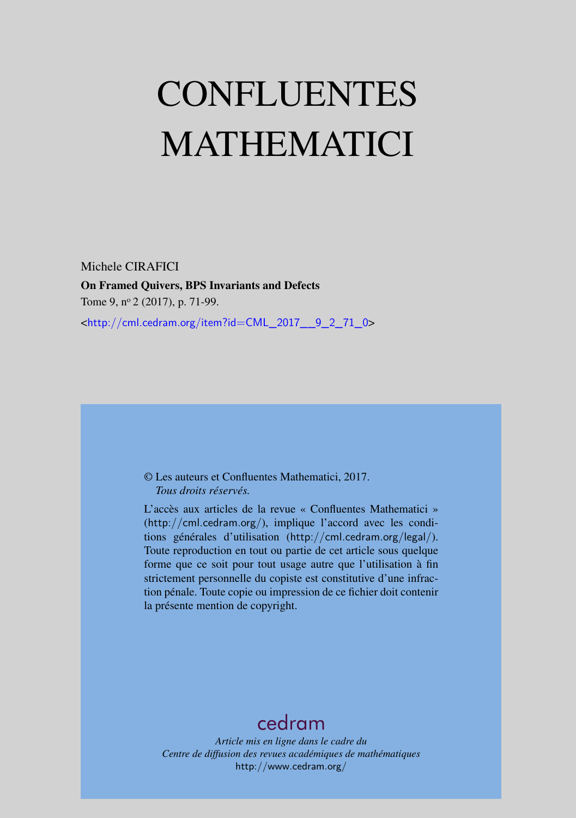# CONFLUENTES MATHEMATICI

Michele CIRAFICI On Framed Quivers, BPS Invariants and Defects Tome 9, nº 2 (2017), p. 71-99. <[http://cml.cedram.org/item?id=CML\\_2017\\_\\_9\\_2\\_71\\_0](http://cml.cedram.org/item?id=CML_2017__9_2_71_0)>

# © Les auteurs et Confluentes Mathematici, 2017. *Tous droits réservés.*

L'accès aux articles de la revue « Confluentes Mathematici » (<http://cml.cedram.org/>), implique l'accord avec les conditions générales d'utilisation (<http://cml.cedram.org/legal/>). Toute reproduction en tout ou partie de cet article sous quelque forme que ce soit pour tout usage autre que l'utilisation à fin strictement personnelle du copiste est constitutive d'une infraction pénale. Toute copie ou impression de ce fichier doit contenir la présente mention de copyright.

# [cedram](http://www.cedram.org/)

*Article mis en ligne dans le cadre du Centre de diffusion des revues académiques de mathématiques* <http://www.cedram.org/>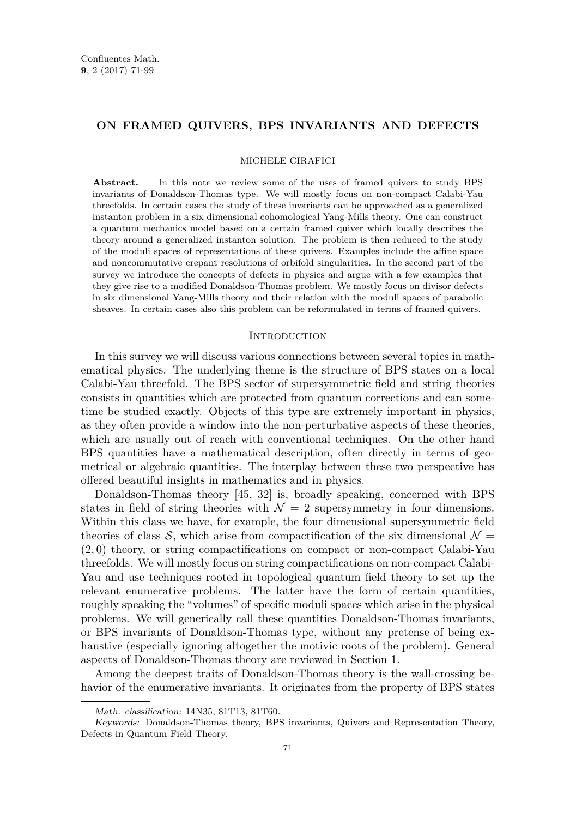# **ON FRAMED QUIVERS, BPS INVARIANTS AND DEFECTS**

#### MICHELE CIRAFICI

Abstract. In this note we review some of the uses of framed quivers to study BPS invariants of Donaldson-Thomas type. We will mostly focus on non-compact Calabi-Yau threefolds. In certain cases the study of these invariants can be approached as a generalized instanton problem in a six dimensional cohomological Yang-Mills theory. One can construct a quantum mechanics model based on a certain framed quiver which locally describes the theory around a generalized instanton solution. The problem is then reduced to the study of the moduli spaces of representations of these quivers. Examples include the affine space and noncommutative crepant resolutions of orbifold singularities. In the second part of the survey we introduce the concepts of defects in physics and argue with a few examples that they give rise to a modified Donaldson-Thomas problem. We mostly focus on divisor defects in six dimensional Yang-Mills theory and their relation with the moduli spaces of parabolic sheaves. In certain cases also this problem can be reformulated in terms of framed quivers.

# **INTRODUCTION**

In this survey we will discuss various connections between several topics in mathematical physics. The underlying theme is the structure of BPS states on a local Calabi-Yau threefold. The BPS sector of supersymmetric field and string theories consists in quantities which are protected from quantum corrections and can sometime be studied exactly. Objects of this type are extremely important in physics, as they often provide a window into the non-perturbative aspects of these theories, which are usually out of reach with conventional techniques. On the other hand BPS quantities have a mathematical description, often directly in terms of geometrical or algebraic quantities. The interplay between these two perspective has offered beautiful insights in mathematics and in physics.

Donaldson-Thomas theory [\[45,](#page-29-0) [32\]](#page-29-1) is, broadly speaking, concerned with BPS states in field of string theories with  $\mathcal{N} = 2$  supersymmetry in four dimensions. Within this class we have, for example, the four dimensional supersymmetric field theories of class S, which arise from compactification of the six dimensional  $\mathcal{N} =$ (2*,* 0) theory, or string compactifications on compact or non-compact Calabi-Yau threefolds. We will mostly focus on string compactifications on non-compact Calabi-Yau and use techniques rooted in topological quantum field theory to set up the relevant enumerative problems. The latter have the form of certain quantities, roughly speaking the "volumes" of specific moduli spaces which arise in the physical problems. We will generically call these quantities Donaldson-Thomas invariants, or BPS invariants of Donaldson-Thomas type, without any pretense of being exhaustive (especially ignoring altogether the motivic roots of the problem). General aspects of Donaldson-Thomas theory are reviewed in Section [1.](#page-3-0)

Among the deepest traits of Donaldson-Thomas theory is the wall-crossing behavior of the enumerative invariants. It originates from the property of BPS states

Math. classification: 14N35, 81T13, 81T60.

Keywords: Donaldson-Thomas theory, BPS invariants, Quivers and Representation Theory, Defects in Quantum Field Theory.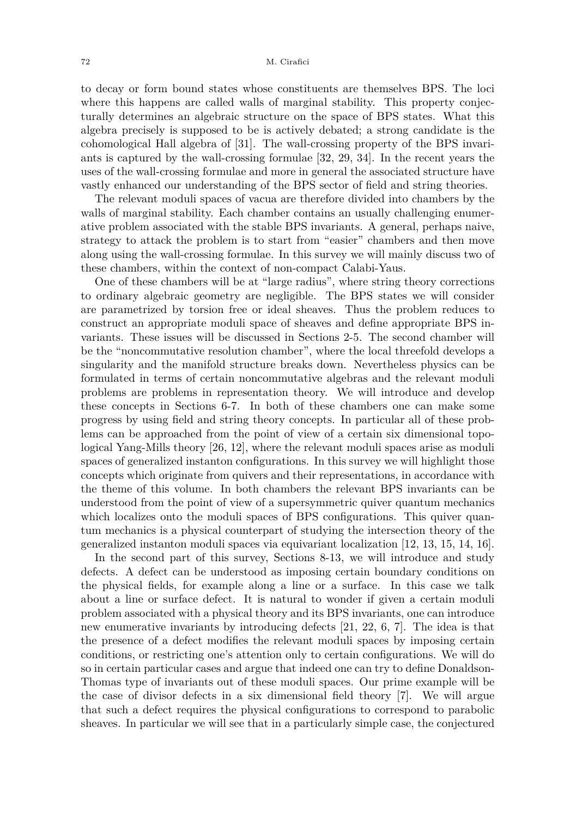#### 72 M. Cirafici

to decay or form bound states whose constituents are themselves BPS. The loci where this happens are called walls of marginal stability. This property conjecturally determines an algebraic structure on the space of BPS states. What this algebra precisely is supposed to be is actively debated; a strong candidate is the cohomological Hall algebra of [\[31\]](#page-29-2). The wall-crossing property of the BPS invariants is captured by the wall-crossing formulae [\[32,](#page-29-1) [29,](#page-28-0) [34\]](#page-29-3). In the recent years the uses of the wall-crossing formulae and more in general the associated structure have vastly enhanced our understanding of the BPS sector of field and string theories.

The relevant moduli spaces of vacua are therefore divided into chambers by the walls of marginal stability. Each chamber contains an usually challenging enumerative problem associated with the stable BPS invariants. A general, perhaps naive, strategy to attack the problem is to start from "easier" chambers and then move along using the wall-crossing formulae. In this survey we will mainly discuss two of these chambers, within the context of non-compact Calabi-Yaus.

One of these chambers will be at "large radius", where string theory corrections to ordinary algebraic geometry are negligible. The BPS states we will consider are parametrized by torsion free or ideal sheaves. Thus the problem reduces to construct an appropriate moduli space of sheaves and define appropriate BPS invariants. These issues will be discussed in Sections [2-](#page-5-0)[5.](#page-12-0) The second chamber will be the "noncommutative resolution chamber", where the local threefold develops a singularity and the manifold structure breaks down. Nevertheless physics can be formulated in terms of certain noncommutative algebras and the relevant moduli problems are problems in representation theory. We will introduce and develop these concepts in Sections [6](#page-12-1)[-7.](#page-14-0) In both of these chambers one can make some progress by using field and string theory concepts. In particular all of these problems can be approached from the point of view of a certain six dimensional topological Yang-Mills theory [\[26,](#page-28-1) [12\]](#page-28-2), where the relevant moduli spaces arise as moduli spaces of generalized instanton configurations. In this survey we will highlight those concepts which originate from quivers and their representations, in accordance with the theme of this volume. In both chambers the relevant BPS invariants can be understood from the point of view of a supersymmetric quiver quantum mechanics which localizes onto the moduli spaces of BPS configurations. This quiver quantum mechanics is a physical counterpart of studying the intersection theory of the generalized instanton moduli spaces via equivariant localization [\[12,](#page-28-2) [13,](#page-28-3) [15,](#page-28-4) [14,](#page-28-5) [16\]](#page-28-6).

In the second part of this survey, Sections [8-](#page-18-0)[13,](#page-26-0) we will introduce and study defects. A defect can be understood as imposing certain boundary conditions on the physical fields, for example along a line or a surface. In this case we talk about a line or surface defect. It is natural to wonder if given a certain moduli problem associated with a physical theory and its BPS invariants, one can introduce new enumerative invariants by introducing defects [\[21,](#page-28-7) [22,](#page-28-8) [6,](#page-28-9) [7\]](#page-28-10). The idea is that the presence of a defect modifies the relevant moduli spaces by imposing certain conditions, or restricting one's attention only to certain configurations. We will do so in certain particular cases and argue that indeed one can try to define Donaldson-Thomas type of invariants out of these moduli spaces. Our prime example will be the case of divisor defects in a six dimensional field theory [\[7\]](#page-28-10). We will argue that such a defect requires the physical configurations to correspond to parabolic sheaves. In particular we will see that in a particularly simple case, the conjectured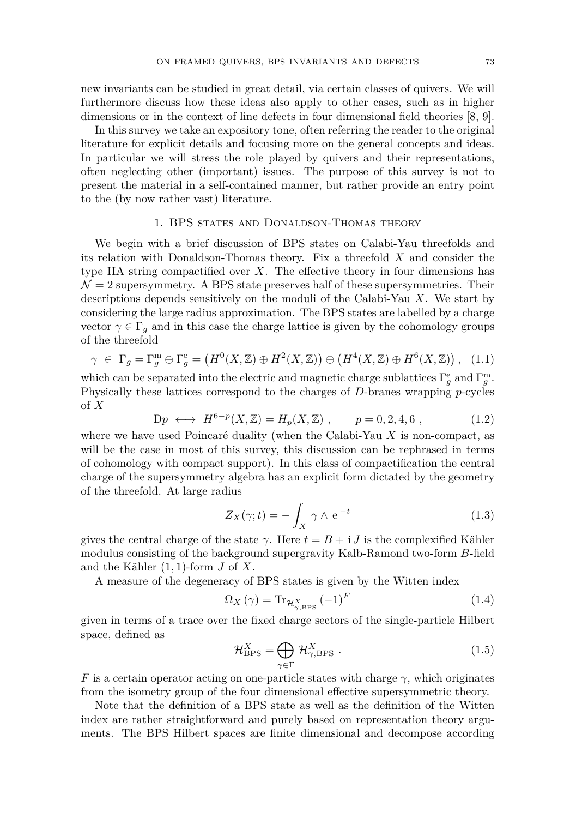new invariants can be studied in great detail, via certain classes of quivers. We will furthermore discuss how these ideas also apply to other cases, such as in higher dimensions or in the context of line defects in four dimensional field theories [\[8,](#page-28-11) [9\]](#page-28-12).

In this survey we take an expository tone, often referring the reader to the original literature for explicit details and focusing more on the general concepts and ideas. In particular we will stress the role played by quivers and their representations, often neglecting other (important) issues. The purpose of this survey is not to present the material in a self-contained manner, but rather provide an entry point to the (by now rather vast) literature.

# 1. BPS states and Donaldson-Thomas theory

<span id="page-3-0"></span>We begin with a brief discussion of BPS states on Calabi-Yau threefolds and its relation with Donaldson-Thomas theory. Fix a threefold *X* and consider the type IIA string compactified over *X*. The effective theory in four dimensions has  $\mathcal{N}=2$  supersymmetry. A BPS state preserves half of these supersymmetries. Their descriptions depends sensitively on the moduli of the Calabi-Yau *X*. We start by considering the large radius approximation. The BPS states are labelled by a charge vector  $\gamma \in \Gamma_g$  and in this case the charge lattice is given by the cohomology groups of the threefold

$$
\gamma \in \Gamma_g = \Gamma_g^{\mathfrak{m}} \oplus \Gamma_g^{\mathfrak{e}} = \left( H^0(X, \mathbb{Z}) \oplus H^2(X, \mathbb{Z}) \right) \oplus \left( H^4(X, \mathbb{Z}) \oplus H^6(X, \mathbb{Z}) \right), \tag{1.1}
$$

which can be separated into the electric and magnetic charge sublattices  $\Gamma_g^e$  and  $\Gamma_g^m$ . Physically these lattices correspond to the charges of *D*-branes wrapping *p*-cycles of *X*

$$
Dp \longleftrightarrow H^{6-p}(X, \mathbb{Z}) = H_p(X, \mathbb{Z}), \qquad p = 0, 2, 4, 6 , \tag{1.2}
$$

where we have used Poincaré duality (when the Calabi-Yau *X* is non-compact, as will be the case in most of this survey, this discussion can be rephrased in terms of cohomology with compact support). In this class of compactification the central charge of the supersymmetry algebra has an explicit form dictated by the geometry of the threefold. At large radius

$$
Z_X(\gamma; t) = -\int_X \gamma \wedge e^{-t} \tag{1.3}
$$

gives the central charge of the state  $\gamma$ . Here  $t = B + iJ$  is the complexified Kähler modulus consisting of the background supergravity Kalb-Ramond two-form *B*-field and the Kähler (1*,* 1)-form *J* of *X*.

A measure of the degeneracy of BPS states is given by the Witten index

$$
\Omega_X \left( \gamma \right) = \text{Tr}_{\mathcal{H}^X_{\gamma, \text{BPS}}} (-1)^F \tag{1.4}
$$

given in terms of a trace over the fixed charge sectors of the single-particle Hilbert space, defined as

$$
\mathcal{H}_{\rm BPS}^X = \bigoplus_{\gamma \in \Gamma} \mathcal{H}_{\gamma, \rm BPS}^X \tag{1.5}
$$

*F* is a certain operator acting on one-particle states with charge  $\gamma$ , which originates from the isometry group of the four dimensional effective supersymmetric theory.

Note that the definition of a BPS state as well as the definition of the Witten index are rather straightforward and purely based on representation theory arguments. The BPS Hilbert spaces are finite dimensional and decompose according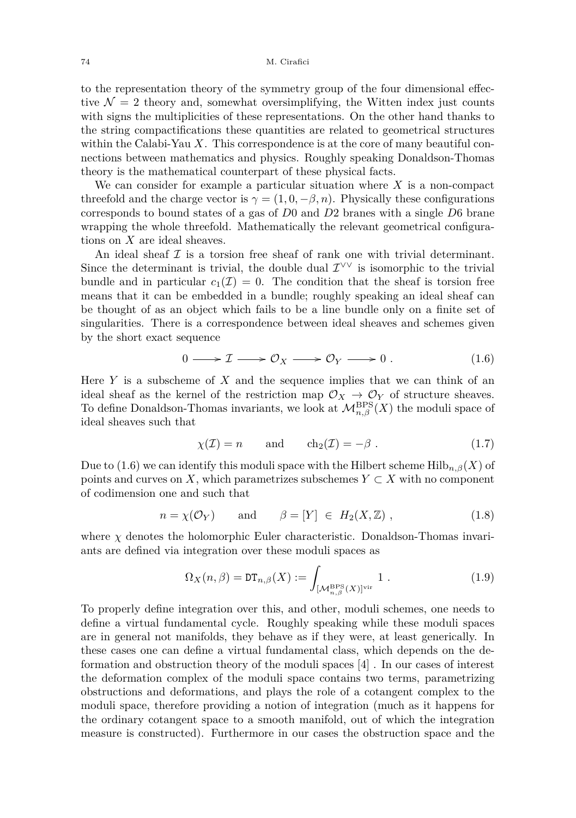to the representation theory of the symmetry group of the four dimensional effective  $\mathcal{N} = 2$  theory and, somewhat oversimplifying, the Witten index just counts with signs the multiplicities of these representations. On the other hand thanks to the string compactifications these quantities are related to geometrical structures within the Calabi-Yau *X*. This correspondence is at the core of many beautiful connections between mathematics and physics. Roughly speaking Donaldson-Thomas theory is the mathematical counterpart of these physical facts.

We can consider for example a particular situation where *X* is a non-compact threefold and the charge vector is  $\gamma = (1, 0, -\beta, n)$ . Physically these configurations corresponds to bound states of a gas of *D*0 and *D*2 branes with a single *D*6 brane wrapping the whole threefold. Mathematically the relevant geometrical configurations on *X* are ideal sheaves.

An ideal sheaf  $\mathcal I$  is a torsion free sheaf of rank one with trivial determinant. Since the determinant is trivial, the double dual  $\mathcal{I}^{\vee\vee}$  is isomorphic to the trivial bundle and in particular  $c_1(\mathcal{I}) = 0$ . The condition that the sheaf is torsion free means that it can be embedded in a bundle; roughly speaking an ideal sheaf can be thought of as an object which fails to be a line bundle only on a finite set of singularities. There is a correspondence between ideal sheaves and schemes given by the short exact sequence

<span id="page-4-0"></span>
$$
0 \longrightarrow \mathcal{I} \longrightarrow \mathcal{O}_X \longrightarrow \mathcal{O}_Y \longrightarrow 0. \qquad (1.6)
$$

Here *Y* is a subscheme of *X* and the sequence implies that we can think of an ideal sheaf as the kernel of the restriction map  $\mathcal{O}_X \to \mathcal{O}_Y$  of structure sheaves. To define Donaldson-Thomas invariants, we look at  $\mathcal{M}_{n,\beta}^{\text{BPS}}(X)$  the moduli space of ideal sheaves such that

$$
\chi(\mathcal{I}) = n \quad \text{and} \quad \mathrm{ch}_2(\mathcal{I}) = -\beta \ . \tag{1.7}
$$

Due to [\(1.6\)](#page-4-0) we can identify this moduli space with the Hilbert scheme  $\text{Hilb}_{n,\beta}(X)$  of points and curves on *X*, which parametrizes subschemes  $Y \subset X$  with no component of codimension one and such that

$$
n = \chi(\mathcal{O}_Y) \quad \text{and} \quad \beta = [Y] \in H_2(X, \mathbb{Z}), \tag{1.8}
$$

where  $\chi$  denotes the holomorphic Euler characteristic. Donaldson-Thomas invariants are defined via integration over these moduli spaces as

$$
\Omega_X(n,\beta) = \mathrm{DT}_{n,\beta}(X) := \int_{\substack{[M_{n,\beta}^{\mathrm{BPS}}(X)]^{\mathrm{vir}}}} 1.
$$
\n(1.9)

To properly define integration over this, and other, moduli schemes, one needs to define a virtual fundamental cycle. Roughly speaking while these moduli spaces are in general not manifolds, they behave as if they were, at least generically. In these cases one can define a virtual fundamental class, which depends on the deformation and obstruction theory of the moduli spaces [\[4\]](#page-28-13) . In our cases of interest the deformation complex of the moduli space contains two terms, parametrizing obstructions and deformations, and plays the role of a cotangent complex to the moduli space, therefore providing a notion of integration (much as it happens for the ordinary cotangent space to a smooth manifold, out of which the integration measure is constructed). Furthermore in our cases the obstruction space and the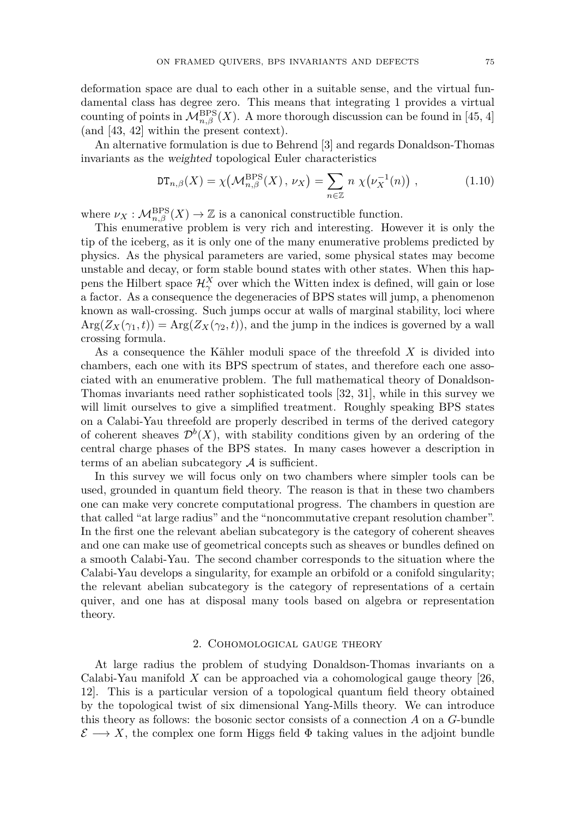deformation space are dual to each other in a suitable sense, and the virtual fundamental class has degree zero. This means that integrating 1 provides a virtual counting of points in  $\mathcal{M}_{n,\beta}^{\text{BPS}}(X)$ . A more thorough discussion can be found in [\[45,](#page-29-0) [4\]](#page-28-13) (and [\[43,](#page-29-4) [42\]](#page-29-5) within the present context).

An alternative formulation is due to Behrend [\[3\]](#page-28-14) and regards Donaldson-Thomas invariants as the weighted topological Euler characteristics

$$
\mathrm{DT}_{n,\beta}(X) = \chi\big(\mathcal{M}_{n,\beta}^{\mathrm{BPS}}(X), \nu_X\big) = \sum_{n \in \mathbb{Z}} n \; \chi\big(\nu_X^{-1}(n)\big) \;, \tag{1.10}
$$

where  $\nu_X : \mathcal{M}_{n,\beta}^{\rm BPS}(X) \to \mathbb{Z}$  is a canonical constructible function.

This enumerative problem is very rich and interesting. However it is only the tip of the iceberg, as it is only one of the many enumerative problems predicted by physics. As the physical parameters are varied, some physical states may become unstable and decay, or form stable bound states with other states. When this happens the Hilbert space  $\mathcal{H}^X_\gamma$  over which the Witten index is defined, will gain or lose a factor. As a consequence the degeneracies of BPS states will jump, a phenomenon known as wall-crossing. Such jumps occur at walls of marginal stability, loci where  $Arg(Z_X(\gamma_1,t)) = Arg(Z_X(\gamma_2,t))$ , and the jump in the indices is governed by a wall crossing formula.

As a consequence the Kähler moduli space of the threefold *X* is divided into chambers, each one with its BPS spectrum of states, and therefore each one associated with an enumerative problem. The full mathematical theory of Donaldson-Thomas invariants need rather sophisticated tools [\[32,](#page-29-1) [31\]](#page-29-2), while in this survey we will limit ourselves to give a simplified treatment. Roughly speaking BPS states on a Calabi-Yau threefold are properly described in terms of the derived category of coherent sheaves  $\mathcal{D}^b(X)$ , with stability conditions given by an ordering of the central charge phases of the BPS states. In many cases however a description in terms of an abelian subcategory  $A$  is sufficient.

In this survey we will focus only on two chambers where simpler tools can be used, grounded in quantum field theory. The reason is that in these two chambers one can make very concrete computational progress. The chambers in question are that called "at large radius" and the "noncommutative crepant resolution chamber". In the first one the relevant abelian subcategory is the category of coherent sheaves and one can make use of geometrical concepts such as sheaves or bundles defined on a smooth Calabi-Yau. The second chamber corresponds to the situation where the Calabi-Yau develops a singularity, for example an orbifold or a conifold singularity; the relevant abelian subcategory is the category of representations of a certain quiver, and one has at disposal many tools based on algebra or representation theory.

#### 2. Cohomological gauge theory

<span id="page-5-0"></span>At large radius the problem of studying Donaldson-Thomas invariants on a Calabi-Yau manifold *X* can be approached via a cohomological gauge theory [\[26,](#page-28-1) [12\]](#page-28-2). This is a particular version of a topological quantum field theory obtained by the topological twist of six dimensional Yang-Mills theory. We can introduce this theory as follows: the bosonic sector consists of a connection *A* on a *G*-bundle  $\mathcal{E} \longrightarrow X$ , the complex one form Higgs field  $\Phi$  taking values in the adjoint bundle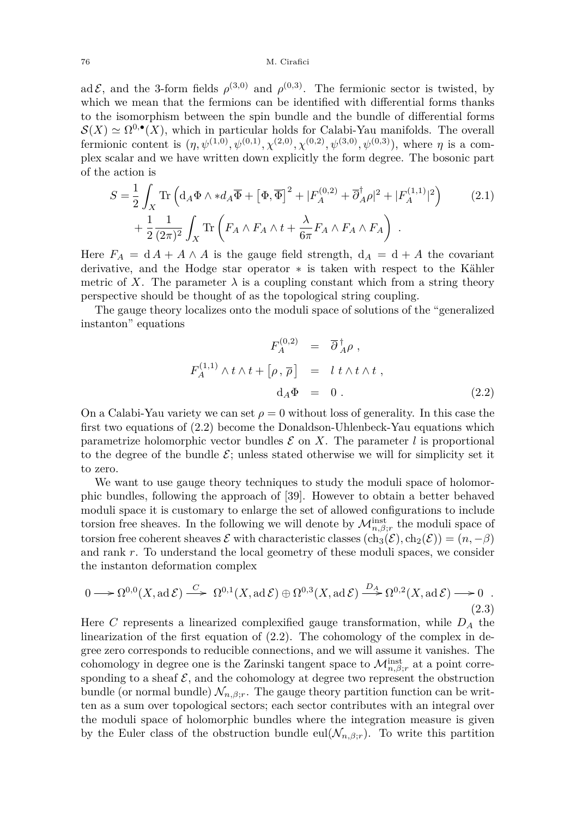#### 76 M. Cirafici

ad  $\mathcal{E}$ , and the 3-form fields  $\rho^{(3,0)}$  and  $\rho^{(0,3)}$ . The fermionic sector is twisted, by which we mean that the fermions can be identified with differential forms thanks to the isomorphism between the spin bundle and the bundle of differential forms  $S(X) \simeq \Omega^{0,\bullet}(X)$ , which in particular holds for Calabi-Yau manifolds. The overall fermionic content is  $(\eta, \psi^{(1,0)}, \psi^{(0,1)}, \chi^{(2,0)}, \chi^{(0,2)}, \psi^{(3,0)}, \psi^{(0,3)})$ , where  $\eta$  is a complex scalar and we have written down explicitly the form degree. The bosonic part of the action is

$$
S = \frac{1}{2} \int_X \text{Tr} \left( \mathrm{d}_A \Phi \wedge * \mathrm{d}_A \overline{\Phi} + \left[ \Phi, \overline{\Phi} \right]^2 + |F_A^{(0,2)} + \overline{\partial}_A^{\dagger} \rho|^2 + |F_A^{(1,1)}|^2 \right) \tag{2.1}
$$

$$
+ \frac{1}{2} \frac{1}{(2\pi)^2} \int_X \text{Tr} \left( F_A \wedge F_A \wedge t + \frac{\lambda}{6\pi} F_A \wedge F_A \wedge F_A \right) .
$$

Here  $F_A = dA + A \wedge A$  is the gauge field strength,  $d_A = d + A$  the covariant derivative, and the Hodge star operator ∗ is taken with respect to the Kähler metric of X. The parameter  $\lambda$  is a coupling constant which from a string theory perspective should be thought of as the topological string coupling.

The gauge theory localizes onto the moduli space of solutions of the "generalized instanton" equations

<span id="page-6-0"></span>
$$
F_A^{(0,2)} = \overline{\partial}_{A}^{\dagger} \rho ,
$$
  

$$
F_A^{(1,1)} \wedge t \wedge t + [\rho, \overline{\rho}] = l t \wedge t \wedge t ,
$$
  

$$
d_A \Phi = 0 .
$$
 (2.2)

On a Calabi-Yau variety we can set  $\rho = 0$  without loss of generality. In this case the first two equations of [\(2.2\)](#page-6-0) become the Donaldson-Uhlenbeck-Yau equations which parametrize holomorphic vector bundles  $\mathcal E$  on  $X$ . The parameter  $l$  is proportional to the degree of the bundle  $\mathcal{E}$ ; unless stated otherwise we will for simplicity set it to zero.

We want to use gauge theory techniques to study the moduli space of holomorphic bundles, following the approach of [\[39\]](#page-29-6). However to obtain a better behaved moduli space it is customary to enlarge the set of allowed configurations to include torsion free sheaves. In the following we will denote by  $\mathcal{M}_{n,\beta;r}^{\text{inst}}$  the moduli space of torsion free coherent sheaves  $\mathcal E$  with characteristic classes  $(\text{ch}_3(\mathcal E), \text{ch}_2(\mathcal E)) = (n, -\beta)$ and rank *r*. To understand the local geometry of these moduli spaces, we consider the instanton deformation complex

<span id="page-6-1"></span>
$$
0 \longrightarrow \Omega^{0,0}(X, \text{ad }\mathcal{E}) \stackrel{C}{\longrightarrow} \Omega^{0,1}(X, \text{ad }\mathcal{E}) \oplus \Omega^{0,3}(X, \text{ad }\mathcal{E}) \stackrel{D_A}{\longrightarrow} \Omega^{0,2}(X, \text{ad }\mathcal{E}) \longrightarrow 0
$$
\n(2.3)

Here *C* represents a linearized complexified gauge transformation, while *D<sup>A</sup>* the linearization of the first equation of [\(2.2\)](#page-6-0). The cohomology of the complex in degree zero corresponds to reducible connections, and we will assume it vanishes. The cohomology in degree one is the Zarinski tangent space to  $\mathcal{M}_{n,\beta;r}^{\text{inst}}$  at a point corresponding to a sheaf  $\mathcal{E}$ , and the cohomology at degree two represent the obstruction bundle (or normal bundle)  $\mathcal{N}_{n,\beta;r}$ . The gauge theory partition function can be written as a sum over topological sectors; each sector contributes with an integral over the moduli space of holomorphic bundles where the integration measure is given by the Euler class of the obstruction bundle eul $(\mathcal{N}_{n,\beta;r})$ . To write this partition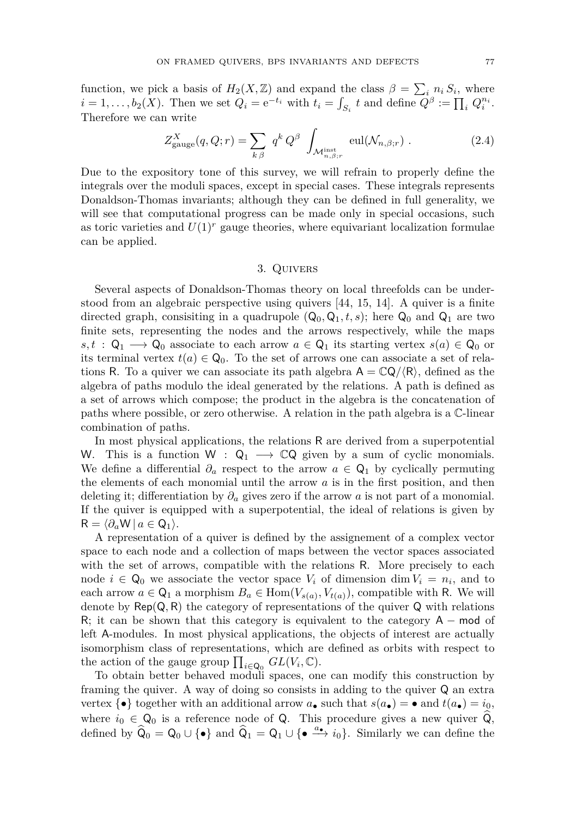function, we pick a basis of  $H_2(X, \mathbb{Z})$  and expand the class  $\beta = \sum_i n_i S_i$ , where  $i = 1, \ldots, b_2(X)$ . Then we set  $Q_i = e^{-t_i}$  with  $t_i = \int_{S_i} t$  and define  $Q^{\beta} := \prod_i Q_i^{n_i}$ . Therefore we can write

<span id="page-7-0"></span>
$$
Z_{\text{gauge}}^X(q, Q; r) = \sum_{k \beta} q^k Q^{\beta} \int_{\mathcal{M}_{n, \beta; r}^{\text{inst}}} \text{eul}(\mathcal{N}_{n, \beta; r}) . \tag{2.4}
$$

Due to the expository tone of this survey, we will refrain to properly define the integrals over the moduli spaces, except in special cases. These integrals represents Donaldson-Thomas invariants; although they can be defined in full generality, we will see that computational progress can be made only in special occasions, such as toric varieties and  $U(1)^r$  gauge theories, where equivariant localization formulae can be applied.

# 3. Quivers

<span id="page-7-1"></span>Several aspects of Donaldson-Thomas theory on local threefolds can be understood from an algebraic perspective using quivers [\[44,](#page-29-7) [15,](#page-28-4) [14\]](#page-28-5). A quiver is a finite directed graph, consisting in a quadrupole  $(Q_0, Q_1, t, s)$ ; here  $Q_0$  and  $Q_1$  are two finite sets, representing the nodes and the arrows respectively, while the maps  $s, t : \mathsf{Q}_1 \longrightarrow \mathsf{Q}_0$  associate to each arrow  $a \in \mathsf{Q}_1$  its starting vertex  $s(a) \in \mathsf{Q}_0$  or its terminal vertex  $t(a) \in \mathsf{Q}_0$ . To the set of arrows one can associate a set of relations R. To a quiver we can associate its path algebra  $A = \mathbb{C}Q/\langle R \rangle$ , defined as the algebra of paths modulo the ideal generated by the relations. A path is defined as a set of arrows which compose; the product in the algebra is the concatenation of paths where possible, or zero otherwise. A relation in the path algebra is a C-linear combination of paths.

In most physical applications, the relations R are derived from a superpotential W. This is a function W :  $Q_1 \longrightarrow \mathbb{C}Q$  given by a sum of cyclic monomials. We define a differential  $\partial_a$  respect to the arrow  $a \in \mathsf{Q}_1$  by cyclically permuting the elements of each monomial until the arrow *a* is in the first position, and then deleting it; differentiation by *∂<sup>a</sup>* gives zero if the arrow *a* is not part of a monomial. If the quiver is equipped with a superpotential, the ideal of relations is given by  $R = \langle \partial_a W | a \in Q_1 \rangle$ .

A representation of a quiver is defined by the assignement of a complex vector space to each node and a collection of maps between the vector spaces associated with the set of arrows, compatible with the relations R. More precisely to each node  $i \in \mathbb{Q}_0$  we associate the vector space  $V_i$  of dimension dim  $V_i = n_i$ , and to each arrow  $a \in \mathsf{Q}_1$  a morphism  $B_a \in \text{Hom}(V_{s(a)}, V_{t(a)})$ , compatible with R. We will denote by  $\text{Rep}(Q, R)$  the category of representations of the quiver  $Q$  with relations R; it can be shown that this category is equivalent to the category  $A - \text{mod}$  of left A-modules. In most physical applications, the objects of interest are actually isomorphism class of representations, which are defined as orbits with respect to the action of the gauge group  $\prod_{i\in\mathsf{Q}_0} GL(V_i,\mathbb{C})$ .

To obtain better behaved moduli spaces, one can modify this construction by framing the quiver. A way of doing so consists in adding to the quiver Q an extra vertex  $\{\bullet\}$  together with an additional arrow  $a_{\bullet}$  such that  $s(a_{\bullet}) = \bullet$  and  $t(a_{\bullet}) = i_0$ , where  $i_0 \in \mathsf{Q}_0$  is a reference node of  $\mathsf{Q}$ . This procedure gives a new quiver  $\mathsf{Q}_0$ , defined by  $\hat{Q}_0 = Q_0 \cup {\{\bullet\}}$  and  $\hat{Q}_1 = Q_1 \cup {\{\bullet \stackrel{a_{\bullet}}{\longrightarrow} i_0\}}$ . Similarly we can define the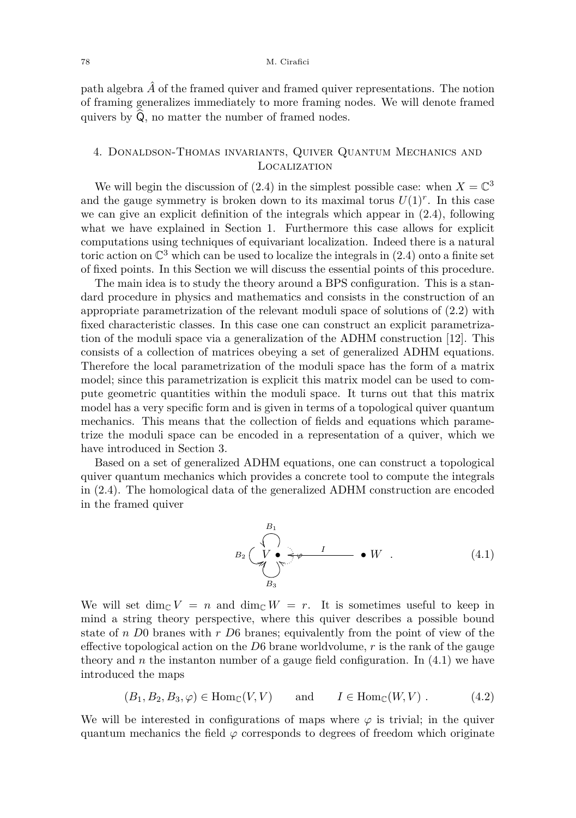path algebra  $\hat{A}$  of the framed quiver and framed quiver representations. The notion of framing generalizes immediately to more framing nodes. We will denote framed quivers by  $\hat{Q}$ , no matter the number of framed nodes.

# 4. Donaldson-Thomas invariants, Quiver Quantum Mechanics and Localization

We will begin the discussion of [\(2.4\)](#page-7-0) in the simplest possible case: when  $X = \mathbb{C}^3$ and the gauge symmetry is broken down to its maximal torus  $U(1)^r$ . In this case we can give an explicit definition of the integrals which appear in [\(2.4\)](#page-7-0), following what we have explained in Section [1.](#page-3-0) Furthermore this case allows for explicit computations using techniques of equivariant localization. Indeed there is a natural toric action on  $\mathbb{C}^3$  which can be used to localize the integrals in  $(2.4)$  onto a finite set of fixed points. In this Section we will discuss the essential points of this procedure.

The main idea is to study the theory around a BPS configuration. This is a standard procedure in physics and mathematics and consists in the construction of an appropriate parametrization of the relevant moduli space of solutions of [\(2.2\)](#page-6-0) with fixed characteristic classes. In this case one can construct an explicit parametrization of the moduli space via a generalization of the ADHM construction [\[12\]](#page-28-2). This consists of a collection of matrices obeying a set of generalized ADHM equations. Therefore the local parametrization of the moduli space has the form of a matrix model; since this parametrization is explicit this matrix model can be used to compute geometric quantities within the moduli space. It turns out that this matrix model has a very specific form and is given in terms of a topological quiver quantum mechanics. This means that the collection of fields and equations which parametrize the moduli space can be encoded in a representation of a quiver, which we have introduced in Section [3.](#page-7-1)

Based on a set of generalized ADHM equations, one can construct a topological quiver quantum mechanics which provides a concrete tool to compute the integrals in [\(2.4\)](#page-7-0). The homological data of the generalized ADHM construction are encoded in the framed quiver

<span id="page-8-0"></span>*<sup>B</sup>*<sup>2</sup> *<sup>V</sup>* • <sup>8</sup> *B*<sup>1</sup> *B*<sup>3</sup> *<sup>ϕ</sup>* f • *W <sup>I</sup>* o *.* (4.1)

We will set dim<sub>C</sub>  $V = n$  and dim<sub>C</sub>  $W = r$ . It is sometimes useful to keep in mind a string theory perspective, where this quiver describes a possible bound state of *n D*0 branes with *r D*6 branes; equivalently from the point of view of the effective topological action on the *D*6 brane worldvolume, *r* is the rank of the gauge theory and  $n$  the instanton number of a gauge field configuration. In  $(4.1)$  we have introduced the maps

<span id="page-8-1"></span>
$$
(B_1, B_2, B_3, \varphi) \in \text{Hom}_{\mathbb{C}}(V, V) \quad \text{and} \quad I \in \text{Hom}_{\mathbb{C}}(W, V) . \tag{4.2}
$$

We will be interested in configurations of maps where  $\varphi$  is trivial; in the quiver quantum mechanics the field  $\varphi$  corresponds to degrees of freedom which originate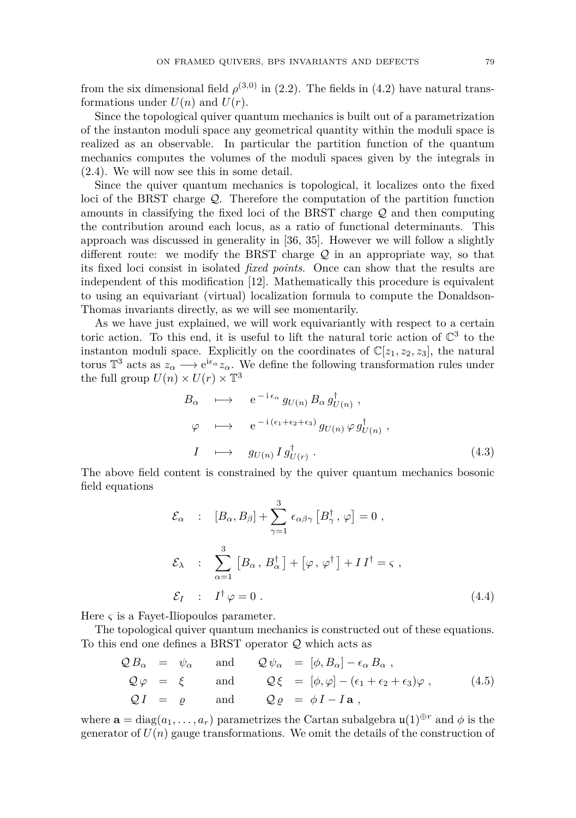from the six dimensional field  $\rho^{(3,0)}$  in [\(2.2\)](#page-6-0). The fields in [\(4.2\)](#page-8-1) have natural transformations under  $U(n)$  and  $U(r)$ .

Since the topological quiver quantum mechanics is built out of a parametrization of the instanton moduli space any geometrical quantity within the moduli space is realized as an observable. In particular the partition function of the quantum mechanics computes the volumes of the moduli spaces given by the integrals in [\(2.4\)](#page-7-0). We will now see this in some detail.

Since the quiver quantum mechanics is topological, it localizes onto the fixed loci of the BRST charge Q. Therefore the computation of the partition function amounts in classifying the fixed loci of the BRST charge  $\mathcal Q$  and then computing the contribution around each locus, as a ratio of functional determinants. This approach was discussed in generality in [\[36,](#page-29-8) [35\]](#page-29-9). However we will follow a slightly different route: we modify the BRST charge  $\mathcal Q$  in an appropriate way, so that its fixed loci consist in isolated *fixed points*. Once can show that the results are independent of this modification [\[12\]](#page-28-2). Mathematically this procedure is equivalent to using an equivariant (virtual) localization formula to compute the Donaldson-Thomas invariants directly, as we will see momentarily.

As we have just explained, we will work equivariantly with respect to a certain toric action. To this end, it is useful to lift the natural toric action of  $\mathbb{C}^3$  to the instanton moduli space. Explicitly on the coordinates of  $\mathbb{C}[z_1, z_2, z_3]$ , the natural torus  $\mathbb{T}^3$  acts as  $z_\alpha \longrightarrow e^{i\epsilon_\alpha} z_\alpha$ . We define the following transformation rules under the full group  $U(n) \times U(r) \times T^3$ 

<span id="page-9-1"></span>
$$
B_{\alpha} \longrightarrow e^{-i \epsilon_{\alpha}} g_{U(n)} B_{\alpha} g_{U(n)}^{\dagger} ,
$$
  
\n
$$
\varphi \longrightarrow e^{-i (\epsilon_1 + \epsilon_2 + \epsilon_3)} g_{U(n)} \varphi g_{U(n)}^{\dagger} ,
$$
  
\n
$$
I \longrightarrow g_{U(n)} I g_{U(r)}^{\dagger} .
$$
\n(4.3)

The above field content is constrained by the quiver quantum mechanics bosonic field equations

<span id="page-9-0"></span>
$$
\mathcal{E}_{\alpha} : [B_{\alpha}, B_{\beta}] + \sum_{\gamma=1}^{3} \epsilon_{\alpha\beta\gamma} [B_{\gamma}^{\dagger}, \varphi] = 0 ,
$$
  

$$
\mathcal{E}_{\lambda} : \sum_{\alpha=1}^{3} [B_{\alpha}, B_{\alpha}^{\dagger}] + [\varphi, \varphi^{\dagger}] + II^{\dagger} = \varsigma ,
$$
  

$$
\mathcal{E}_{I} : I^{\dagger} \varphi = 0 .
$$
 (4.4)

Here  $\varsigma$  is a Fayet-Iliopoulos parameter.

The topological quiver quantum mechanics is constructed out of these equations. To this end one defines a BRST operator  ${\mathcal{Q}}$  which acts as

$$
Q B_{\alpha} = \psi_{\alpha} \quad \text{and} \quad Q \psi_{\alpha} = [\phi, B_{\alpha}] - \epsilon_{\alpha} B_{\alpha} ,
$$
  
\n
$$
Q \varphi = \xi \quad \text{and} \quad Q \xi = [\phi, \varphi] - (\epsilon_{1} + \epsilon_{2} + \epsilon_{3}) \varphi , \quad (4.5)
$$
  
\n
$$
Q I = \varrho \quad \text{and} \quad Q \varrho = \phi I - I a ,
$$

where  $\mathbf{a} = \text{diag}(a_1, \ldots, a_r)$  parametrizes the Cartan subalgebra  $\mathfrak{u}(1) \oplus r$  and  $\phi$  is the generator of  $U(n)$  gauge transformations. We omit the details of the construction of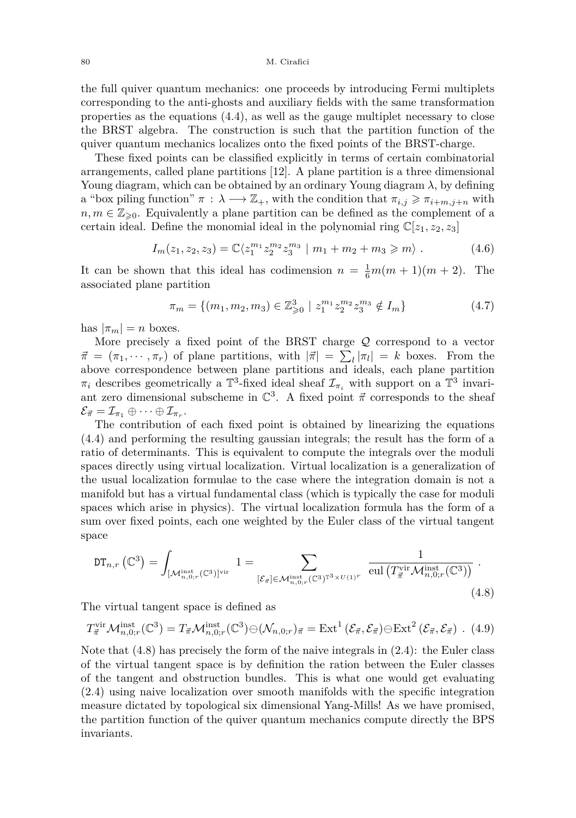the full quiver quantum mechanics: one proceeds by introducing Fermi multiplets corresponding to the anti-ghosts and auxiliary fields with the same transformation properties as the equations [\(4.4\)](#page-9-0), as well as the gauge multiplet necessary to close the BRST algebra. The construction is such that the partition function of the quiver quantum mechanics localizes onto the fixed points of the BRST-charge.

These fixed points can be classified explicitly in terms of certain combinatorial arrangements, called plane partitions [\[12\]](#page-28-2). A plane partition is a three dimensional Young diagram, which can be obtained by an ordinary Young diagram *λ*, by defining a "box piling function"  $\pi$  :  $\lambda \longrightarrow \mathbb{Z}_+$ , with the condition that  $\pi_{i,j} \geq \pi_{i+m,j+n}$  with  $n, m \in \mathbb{Z}_{\geq 0}$ . Equivalently a plane partition can be defined as the complement of a certain ideal. Define the monomial ideal in the polynomial ring  $\mathbb{C}[z_1, z_2, z_3]$ 

$$
I_m(z_1, z_2, z_3) = \mathbb{C} \langle z_1^{m_1} z_2^{m_2} z_3^{m_3} \mid m_1 + m_2 + m_3 \geqslant m \rangle \ . \tag{4.6}
$$

It can be shown that this ideal has codimension  $n = \frac{1}{6}m(m+1)(m+2)$ . The associated plane partition

$$
\pi_m = \{ (m_1, m_2, m_3) \in \mathbb{Z}_{\geq 0}^3 \mid z_1^{m_1} z_2^{m_2} z_3^{m_3} \notin I_m \}
$$
\n(4.7)

has  $|\pi_m| = n$  boxes.

More precisely a fixed point of the BRST charge  $Q$  correspond to a vector  $\vec{\pi} = (\pi_1, \dots, \pi_r)$  of plane partitions, with  $|\vec{\pi}| = \sum_l |\pi_l| = k$  boxes. From the above correspondence between plane partitions and ideals, each plane partition  $\pi_i$  describes geometrically a  $\mathbb{T}^3$ -fixed ideal sheaf  $\mathcal{I}_{\pi_i}$  with support on a  $\mathbb{T}^3$  invariant zero dimensional subscheme in  $\mathbb{C}^3$ . A fixed point  $\vec{\pi}$  corresponds to the sheaf  $\mathcal{E}_{\vec{\pi}} = \mathcal{I}_{\pi_1} \oplus \cdots \oplus \mathcal{I}_{\pi_r}.$ 

The contribution of each fixed point is obtained by linearizing the equations [\(4.4\)](#page-9-0) and performing the resulting gaussian integrals; the result has the form of a ratio of determinants. This is equivalent to compute the integrals over the moduli spaces directly using virtual localization. Virtual localization is a generalization of the usual localization formulae to the case where the integration domain is not a manifold but has a virtual fundamental class (which is typically the case for moduli spaces which arise in physics). The virtual localization formula has the form of a sum over fixed points, each one weighted by the Euler class of the virtual tangent space

<span id="page-10-0"></span>
$$
\mathrm{DT}_{n,r}\left(\mathbb{C}^3\right) = \int_{\left[\mathcal{M}_{n,0;r}^{\mathrm{inst}}\left(\mathbb{C}^3\right)\right]^{\mathrm{vir}}} 1 = \sum_{\left[\mathcal{E}_{\vec{\pi}}\right] \in \mathcal{M}_{n,0;r}^{\mathrm{inst}}\left(\mathbb{C}^3\right)^{\mathrm{T}^3} \times U(1)^r} \frac{1}{\mathrm{eul}\left(T_{\vec{\pi}}^{\mathrm{vir}} \mathcal{M}_{n,0;r}^{\mathrm{inst}}\left(\mathbb{C}^3\right)\right)} \tag{4.8}
$$

The virtual tangent space is defined as

$$
T_{\vec{\pi}}^{\text{vir}}\mathcal{M}_{n,0;r}^{\text{inst}}(\mathbb{C}^3) = T_{\vec{\pi}}\mathcal{M}_{n,0;r}^{\text{inst}}(\mathbb{C}^3) \ominus (\mathcal{N}_{n,0;r})_{\vec{\pi}} = \text{Ext}^1\left(\mathcal{E}_{\vec{\pi}}, \mathcal{E}_{\vec{\pi}}\right) \ominus \text{Ext}^2\left(\mathcal{E}_{\vec{\pi}}, \mathcal{E}_{\vec{\pi}}\right) . (4.9)
$$

Note that [\(4.8\)](#page-10-0) has precisely the form of the naive integrals in [\(2.4\)](#page-7-0): the Euler class of the virtual tangent space is by definition the ration between the Euler classes of the tangent and obstruction bundles. This is what one would get evaluating [\(2.4\)](#page-7-0) using naive localization over smooth manifolds with the specific integration measure dictated by topological six dimensional Yang-Mills! As we have promised, the partition function of the quiver quantum mechanics compute directly the BPS invariants.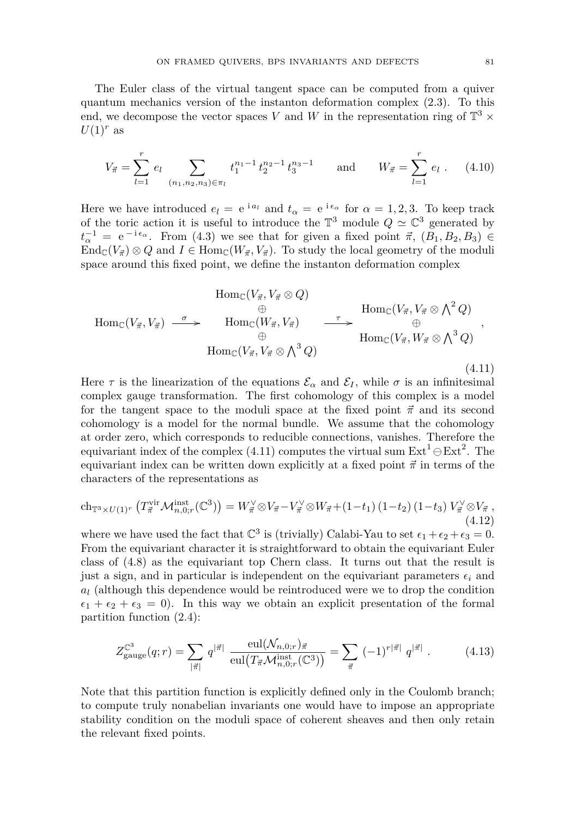The Euler class of the virtual tangent space can be computed from a quiver quantum mechanics version of the instanton deformation complex [\(2.3\)](#page-6-1). To this end, we decompose the vector spaces V and W in the representation ring of  $\mathbb{T}^3$  ×  $U(1)^r$  as

<span id="page-11-1"></span>
$$
V_{\vec{\pi}} = \sum_{l=1}^{r} e_l \sum_{(n_1, n_2, n_3) \in \pi_l} t_1^{n_1 - 1} t_2^{n_2 - 1} t_3^{n_3 - 1} \quad \text{and} \quad W_{\vec{\pi}} = \sum_{l=1}^{r} e_l . \quad (4.10)
$$

Here we have introduced  $e_l = e^{i a_l}$  and  $t_\alpha = e^{i \epsilon_\alpha}$  for  $\alpha = 1, 2, 3$ . To keep track of the toric action it is useful to introduce the  $\mathbb{T}^3$  module  $Q \simeq \mathbb{C}^3$  generated by  $t_{\alpha}^{-1} = e^{-i \epsilon_{\alpha}}$ . From [\(4.3\)](#page-9-1) we see that for given a fixed point  $\vec{\pi}$ ,  $(B_1, B_2, B_3) \in$  $\text{End}_{\mathbb{C}}(V_{\vec{\pi}}) \otimes Q$  and  $I \in \text{Hom}_{\mathbb{C}}(W_{\vec{\pi}}, V_{\vec{\pi}})$ . To study the local geometry of the moduli space around this fixed point, we define the instanton deformation complex

<span id="page-11-0"></span>
$$
\text{Hom}_{\mathbb{C}}(V_{\vec{\pi}}, V_{\vec{\pi}} \otimes Q) \qquad \qquad \text{Hom}_{\mathbb{C}}(V_{\vec{\pi}}, V_{\vec{\pi}} \otimes \Lambda^2 Q) \n\oplus \qquad \qquad \text{Hom}_{\mathbb{C}}(V_{\vec{\pi}}, V_{\vec{\pi}}) \qquad \qquad \xrightarrow{\tau} \qquad \qquad \text{Hom}_{\mathbb{C}}(V_{\vec{\pi}}, V_{\vec{\pi}} \otimes \Lambda^2 Q) \n\oplus \qquad \qquad \text{Hom}_{\mathbb{C}}(V_{\vec{\pi}}, V_{\vec{\pi}} \otimes \Lambda^3 Q) \qquad \qquad (4.11)
$$

Here  $\tau$  is the linearization of the equations  $\mathcal{E}_{\alpha}$  and  $\mathcal{E}_{I}$ , while  $\sigma$  is an infinitesimal complex gauge transformation. The first cohomology of this complex is a model for the tangent space to the moduli space at the fixed point  $\vec{\pi}$  and its second cohomology is a model for the normal bundle. We assume that the cohomology at order zero, which corresponds to reducible connections, vanishes. Therefore the equivariant index of the complex [\(4.11\)](#page-11-0) computes the virtual sum  $\text{Ext}^1\ominus \text{Ext}^2$ . The equivariant index can be written down explicitly at a fixed point  $\vec{\pi}$  in terms of the characters of the representations as

$$
\mathrm{ch}_{\mathbb{T}^3 \times U(1)^r} \left( T^{\mathrm{vir}}_{\vec{\pi}} \mathcal{M}^{\mathrm{inst}}_{n,0;r}(\mathbb{C}^3) \right) = W^{\vee}_{\vec{\pi}} \otimes V_{\vec{\pi}} - V^{\vee}_{\vec{\pi}} \otimes W_{\vec{\pi}} + (1 - t_1) \left( 1 - t_2 \right) \left( 1 - t_3 \right) V^{\vee}_{\vec{\pi}} \otimes V_{\vec{\pi}} , \tag{4.12}
$$

where we have used the fact that  $\mathbb{C}^3$  is (trivially) Calabi-Yau to set  $\epsilon_1 + \epsilon_2 + \epsilon_3 = 0$ . From the equivariant character it is straightforward to obtain the equivariant Euler class of [\(4.8\)](#page-10-0) as the equivariant top Chern class. It turns out that the result is just a sign, and in particular is independent on the equivariant parameters  $\epsilon_i$  and *a<sup>l</sup>* (although this dependence would be reintroduced were we to drop the condition  $\epsilon_1 + \epsilon_2 + \epsilon_3 = 0$ . In this way we obtain an explicit presentation of the formal partition function [\(2.4\)](#page-7-0):

$$
Z_{\text{gauge}}^{\mathbb{C}^3}(q;r) = \sum_{|\vec{\pi}|} q^{|\vec{\pi}|} \frac{\text{eul}(\mathcal{N}_{n,0;r})\vec{\pi}}{\text{eul}\big(T_{\vec{\pi}}\mathcal{M}_{n,0;r}^{\text{inst}}(\mathbb{C}^3)\big)} = \sum_{\vec{\pi}} (-1)^{r|\vec{\pi}|} q^{|\vec{\pi}|} . \tag{4.13}
$$

Note that this partition function is explicitly defined only in the Coulomb branch; to compute truly nonabelian invariants one would have to impose an appropriate stability condition on the moduli space of coherent sheaves and then only retain the relevant fixed points.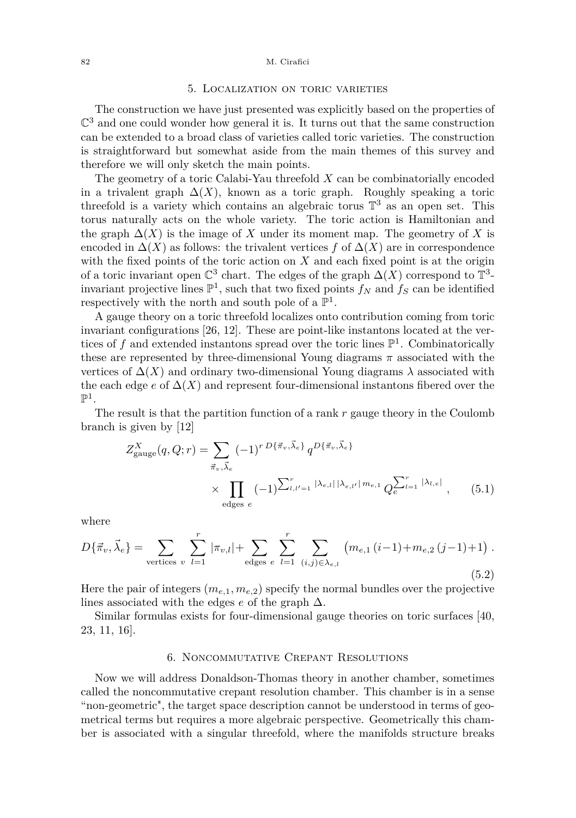#### <span id="page-12-0"></span>82 M. Cirafici

#### 5. Localization on toric varieties

The construction we have just presented was explicitly based on the properties of  $\mathbb{C}^3$  and one could wonder how general it is. It turns out that the same construction can be extended to a broad class of varieties called toric varieties. The construction is straightforward but somewhat aside from the main themes of this survey and therefore we will only sketch the main points.

The geometry of a toric Calabi-Yau threefold *X* can be combinatorially encoded in a trivalent graph  $\Delta(X)$ , known as a toric graph. Roughly speaking a toric threefold is a variety which contains an algebraic torus  $\mathbb{T}^3$  as an open set. This torus naturally acts on the whole variety. The toric action is Hamiltonian and the graph  $\Delta(X)$  is the image of X under its moment map. The geometry of X is encoded in  $\Delta(X)$  as follows: the trivalent vertices *f* of  $\Delta(X)$  are in correspondence with the fixed points of the toric action on *X* and each fixed point is at the origin of a toric invariant open  $\mathbb{C}^3$  chart. The edges of the graph  $\Delta(X)$  correspond to  $\mathbb{T}^3$ invariant projective lines  $\mathbb{P}^1$ , such that two fixed points  $f_N$  and  $f_S$  can be identified respectively with the north and south pole of a  $\mathbb{P}^1$ .

A gauge theory on a toric threefold localizes onto contribution coming from toric invariant configurations [\[26,](#page-28-1) [12\]](#page-28-2). These are point-like instantons located at the vertices of  $f$  and extended instantons spread over the toric lines  $\mathbb{P}^1$ . Combinatorically these are represented by three-dimensional Young diagrams  $\pi$  associated with the vertices of  $\Delta(X)$  and ordinary two-dimensional Young diagrams  $\lambda$  associated with the each edge  $e$  of  $\Delta(X)$  and represent four-dimensional instantons fibered over the  $\mathbb{P}^1$ .

The result is that the partition function of a rank *r* gauge theory in the Coulomb branch is given by [\[12\]](#page-28-2)

$$
Z_{\text{gauge}}^{X}(q, Q; r) = \sum_{\vec{\pi}_{v}, \vec{\lambda}_{e}} (-1)^{r} P\{\vec{\pi}_{v}, \vec{\lambda}_{e}\} q^{D\{\vec{\pi}_{v}, \vec{\lambda}_{e}\}}
$$
  
 
$$
\times \prod_{\text{edges } e} (-1)^{\sum_{l,l'=1}^{r} |\lambda_{e,l}| |\lambda_{e,l'}| m_{e,1}} Q_{e}^{\sum_{l=1}^{r} |\lambda_{l,e}|}, \qquad (5.1)
$$

where

$$
D\{\vec{\pi}_{v}, \vec{\lambda}_{e}\} = \sum_{\text{vertices } v} \sum_{l=1}^{r} |\pi_{v,l}| + \sum_{\text{edges } e} \sum_{l=1}^{r} \sum_{(i,j) \in \lambda_{e,l}} (m_{e,1} (i-1) + m_{e,2} (j-1) + 1).
$$
\n(5.2)

Here the pair of integers  $(m_{e,1}, m_{e,2})$  specify the normal bundles over the projective lines associated with the edges *e* of the graph ∆.

Similar formulas exists for four-dimensional gauge theories on toric surfaces [\[40,](#page-29-10) [23,](#page-28-15) [11,](#page-28-16) [16\]](#page-28-6).

#### 6. Noncommutative Crepant Resolutions

<span id="page-12-1"></span>Now we will address Donaldson-Thomas theory in another chamber, sometimes called the noncommutative crepant resolution chamber. This chamber is in a sense "non-geometric", the target space description cannot be understood in terms of geometrical terms but requires a more algebraic perspective. Geometrically this chamber is associated with a singular threefold, where the manifolds structure breaks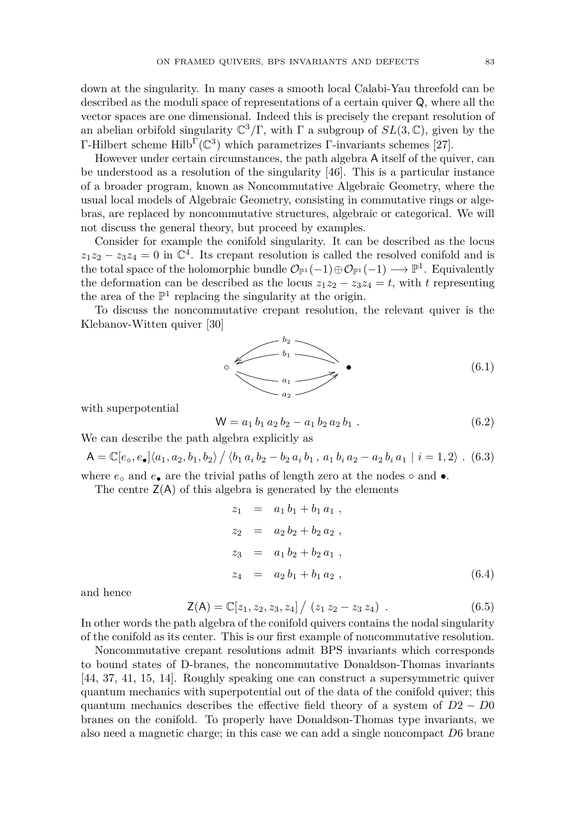down at the singularity. In many cases a smooth local Calabi-Yau threefold can be described as the moduli space of representations of a certain quiver Q, where all the vector spaces are one dimensional. Indeed this is precisely the crepant resolution of an abelian orbifold singularity  $\mathbb{C}^3/\Gamma$ , with  $\Gamma$  a subgroup of  $SL(3,\mathbb{C})$ , given by the Γ-Hilbert scheme Hilb<sup>Γ</sup>( $\mathbb{C}^3$ ) which parametrizes Γ-invariants schemes [\[27\]](#page-28-17).

However under certain circumstances, the path algebra A itself of the quiver, can be understood as a resolution of the singularity [\[46\]](#page-29-11). This is a particular instance of a broader program, known as Noncommutative Algebraic Geometry, where the usual local models of Algebraic Geometry, consisting in commutative rings or algebras, are replaced by noncommutative structures, algebraic or categorical. We will not discuss the general theory, but proceed by examples.

Consider for example the conifold singularity. It can be described as the locus  $z_1z_2 - z_3z_4 = 0$  in  $\mathbb{C}^4$ . Its crepant resolution is called the resolved conifold and is the total space of the holomorphic bundle  $\mathcal{O}_{\mathbb{P}^1}(-1) \oplus \mathcal{O}_{\mathbb{P}^1}(-1) \longrightarrow \mathbb{P}^1$ . Equivalently the deformation can be described as the locus  $z_1z_2 - z_3z_4 = t$ , with *t* representing the area of the  $\mathbb{P}^1$  replacing the singularity at the origin.

To discuss the noncommutative crepant resolution, the relevant quiver is the Klebanov-Witten quiver [\[30\]](#page-29-12)



with superpotential

$$
W = a_1 b_1 a_2 b_2 - a_1 b_2 a_2 b_1 . \t\t(6.2)
$$

We can describe the path algebra explicitly as

$$
\mathsf{A} = \mathbb{C}[e_0, e_{\bullet}]\langle a_1, a_2, b_1, b_2\rangle / \langle b_1 a_i b_2 - b_2 a_i b_1, a_1 b_i a_2 - a_2 b_i a_1 | i = 1, 2 \rangle. (6.3)
$$

where  $e_{\circ}$  and  $e_{\bullet}$  are the trivial paths of length zero at the nodes  $\circ$  and  $\bullet$ .

The centre  $Z(A)$  of this algebra is generated by the elements

$$
z_1 = a_1 b_1 + b_1 a_1 ,
$$
  
\n
$$
z_2 = a_2 b_2 + b_2 a_2 ,
$$
  
\n
$$
z_3 = a_1 b_2 + b_2 a_1 ,
$$
  
\n
$$
z_4 = a_2 b_1 + b_1 a_2 ,
$$
  
\n(6.4)

and hence

$$
\mathsf{Z}(\mathsf{A}) = \mathbb{C}[z_1, z_2, z_3, z_4] / (z_1 z_2 - z_3 z_4).
$$
 (6.5)

In other words the path algebra of the conifold quivers contains the nodal singularity of the conifold as its center. This is our first example of noncommutative resolution.

Noncommutative crepant resolutions admit BPS invariants which corresponds to bound states of D-branes, the noncommutative Donaldson-Thomas invariants [\[44,](#page-29-7) [37,](#page-29-13) [41,](#page-29-14) [15,](#page-28-4) [14\]](#page-28-5). Roughly speaking one can construct a supersymmetric quiver quantum mechanics with superpotential out of the data of the conifold quiver; this quantum mechanics describes the effective field theory of a system of *D*2 − *D*0 branes on the conifold. To properly have Donaldson-Thomas type invariants, we also need a magnetic charge; in this case we can add a single noncompact *D*6 brane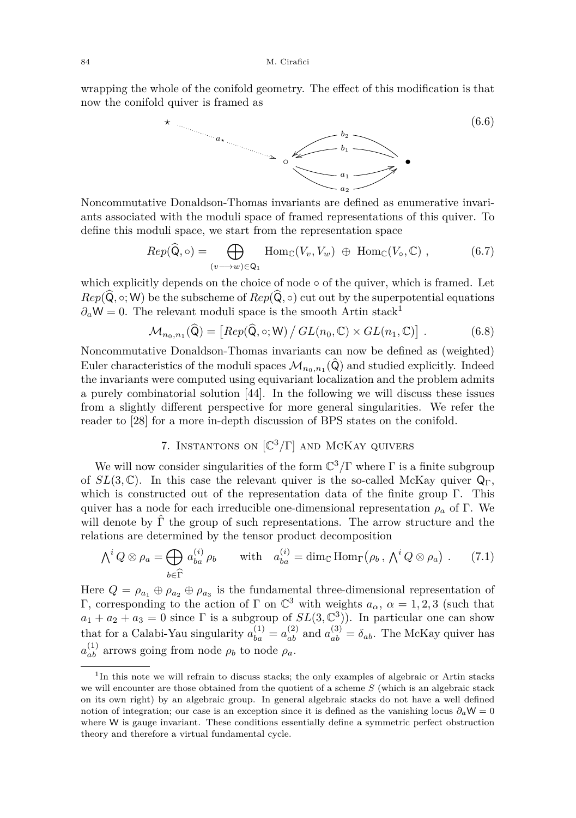wrapping the whole of the conifold geometry. The effect of this modification is that now the conifold quiver is framed as



Noncommutative Donaldson-Thomas invariants are defined as enumerative invariants associated with the moduli space of framed representations of this quiver. To define this moduli space, we start from the representation space

$$
Rep(\widehat{Q}, \circ) = \bigoplus_{(v \to w) \in Q_1} Hom_{\mathbb{C}}(V_v, V_w) \oplus Hom_{\mathbb{C}}(V_{\circ}, \mathbb{C}), \tag{6.7}
$$

which explicitly depends on the choice of node  $\circ$  of the quiver, which is framed. Let  $Rep(\hat{Q}, \circ; W)$  be the subscheme of  $Rep(\hat{Q}, \circ)$  cut out by the superpotential equations  $\partial_a W = 0$ . The relevant moduli space is the smooth Artin stack<sup>1</sup>

$$
\mathcal{M}_{n_0,n_1}(\widehat{\mathsf{Q}}) = \left[ Rep(\widehat{\mathsf{Q}}, \circ; \mathsf{W}) / GL(n_0, \mathbb{C}) \times GL(n_1, \mathbb{C}) \right]. \tag{6.8}
$$

Noncommutative Donaldson-Thomas invariants can now be defined as (weighted) Euler characteristics of the moduli spaces  $\mathcal{M}_{n_0,n_1}(\hat{\mathsf{Q}})$  and studied explicitly. Indeed the invariants were computed using equivariant localization and the problem admits a purely combinatorial solution [\[44\]](#page-29-7). In the following we will discuss these issues from a slightly different perspective for more general singularities. We refer the reader to [\[28\]](#page-28-18) for a more in-depth discussion of BPS states on the conifold.

# 7. Instantons on [C <sup>3</sup>*/*Γ] and McKay quivers

<span id="page-14-0"></span>We will now consider singularities of the form  $\mathbb{C}^3/\Gamma$  where  $\Gamma$  is a finite subgroup of  $SL(3,\mathbb{C})$ . In this case the relevant quiver is the so-called McKay quiver  $\mathsf{Q}_{\Gamma}$ , which is constructed out of the representation data of the finite group Γ. This quiver has a node for each irreducible one-dimensional representation  $\rho_a$  of Γ. We will denote by  $\hat{\Gamma}$  the group of such representations. The arrow structure and the relations are determined by the tensor product decomposition

<span id="page-14-1"></span>
$$
\Lambda^i Q \otimes \rho_a = \bigoplus_{b \in \widehat{\Gamma}} a_{ba}^{(i)} \rho_b \quad \text{with} \quad a_{ba}^{(i)} = \dim_{\mathbb{C}} \text{Hom}_{\Gamma} (\rho_b, \Lambda^i Q \otimes \rho_a) \ . \tag{7.1}
$$

Here  $Q = \rho_{a_1} \oplus \rho_{a_2} \oplus \rho_{a_3}$  is the fundamental three-dimensional representation of Γ, corresponding to the action of Γ on  $\mathbb{C}^3$  with weights  $a_\alpha$ ,  $\alpha = 1, 2, 3$  (such that  $a_1 + a_2 + a_3 = 0$  since  $\Gamma$  is a subgroup of  $SL(3, \mathbb{C}^3)$ ). In particular one can show that for a Calabi-Yau singularity  $a_{ba}^{(1)} = a_{ab}^{(2)}$  and  $a_{ab}^{(3)} = \delta_{ab}$ . The McKay quiver has  $a_{ab}^{(1)}$  arrows going from node  $\rho_b$  to node  $\rho_a$ .

<sup>&</sup>lt;sup>1</sup>In this note we will refrain to discuss stacks; the only examples of algebraic or Artin stacks we will encounter are those obtained from the quotient of a scheme *S* (which is an algebraic stack on its own right) by an algebraic group. In general algebraic stacks do not have a well defined notion of integration; our case is an exception since it is defined as the vanishing locus  $\partial_a W = 0$ where W is gauge invariant. These conditions essentially define a symmetric perfect obstruction theory and therefore a virtual fundamental cycle.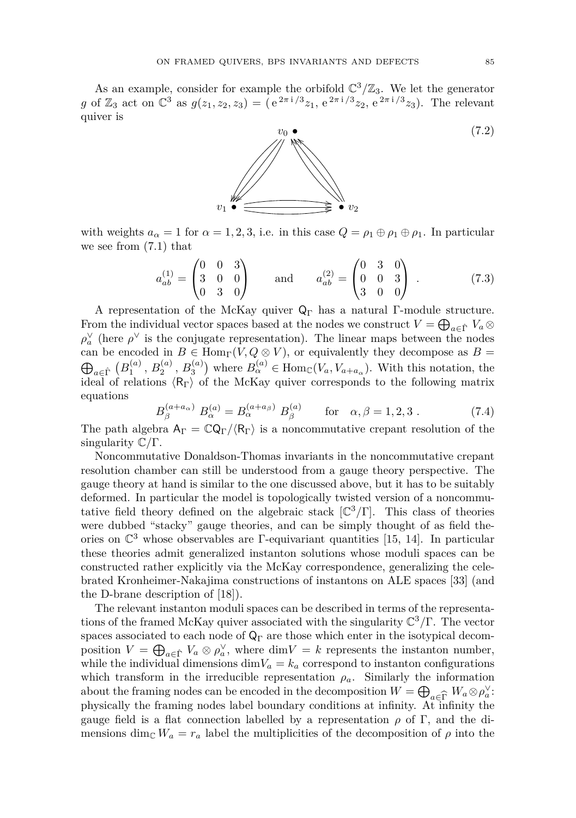As an example, consider for example the orbifold  $\mathbb{C}^3/\mathbb{Z}_3$ . We let the generator *g* of  $\mathbb{Z}_3$  act on  $\mathbb{C}^3$  as  $g(z_1, z_2, z_3) = (e^{2\pi i/3}z_1, e^{2\pi i/3}z_2, e^{2\pi i/3}z_3)$ . The relevant quiver is



with weights  $a_{\alpha} = 1$  for  $\alpha = 1, 2, 3$ , i.e. in this case  $Q = \rho_1 \oplus \rho_1 \oplus \rho_1$ . In particular we see from [\(7.1\)](#page-14-1) that

$$
a_{ab}^{(1)} = \begin{pmatrix} 0 & 0 & 3 \\ 3 & 0 & 0 \\ 0 & 3 & 0 \end{pmatrix} \quad \text{and} \quad a_{ab}^{(2)} = \begin{pmatrix} 0 & 3 & 0 \\ 0 & 0 & 3 \\ 3 & 0 & 0 \end{pmatrix} . \tag{7.3}
$$

A representation of the McKay quiver  $Q_{\Gamma}$  has a natural Γ-module structure. From the individual vector spaces based at the nodes we construct  $V = \bigoplus_{a \in \hat{\Gamma}} V_a \otimes$  $ρ<sub>a</sub><sup>∨</sup>$  (here *ρ*<sup> $∨$ </sup> is the conjugate representation). The linear maps between the nodes can be encoded in  $B \in \text{Hom}_{\Gamma}(V, Q \otimes V)$ , or equivalently they decompose as  $B =$  $\bigoplus_{a \in \hat{\Gamma}} (B_1^{(a)}, B_2^{(a)}, B_3^{(a)})$  where  $B_\alpha^{(a)} \in \text{Hom}_{\mathbb{C}}(V_a, V_{a+a_\alpha})$ . With this notation, the ideal of relations  $\langle \mathsf{R}_{\Gamma} \rangle$  of the McKay quiver corresponds to the following matrix equations

$$
B_{\beta}^{(a+a_{\alpha})} B_{\alpha}^{(a)} = B_{\alpha}^{(a+a_{\beta})} B_{\beta}^{(a)} \quad \text{for} \quad \alpha, \beta = 1, 2, 3. \tag{7.4}
$$

The path algebra  $A_{\Gamma} = \mathbb{C} Q_{\Gamma}/\langle R_{\Gamma} \rangle$  is a noncommutative crepant resolution of the singularity C*/*Γ.

Noncommutative Donaldson-Thomas invariants in the noncommutative crepant resolution chamber can still be understood from a gauge theory perspective. The gauge theory at hand is similar to the one discussed above, but it has to be suitably deformed. In particular the model is topologically twisted version of a noncommutative field theory defined on the algebraic stack [C <sup>3</sup>*/*Γ]. This class of theories were dubbed "stacky" gauge theories, and can be simply thought of as field theories on  $\mathbb{C}^3$  whose observables are  $\Gamma$ -equivariant quantities [\[15,](#page-28-4) [14\]](#page-28-5). In particular these theories admit generalized instanton solutions whose moduli spaces can be constructed rather explicitly via the McKay correspondence, generalizing the celebrated Kronheimer-Nakajima constructions of instantons on ALE spaces [\[33\]](#page-29-15) (and the D-brane description of [\[18\]](#page-28-19)).

The relevant instanton moduli spaces can be described in terms of the representations of the framed McKay quiver associated with the singularity C <sup>3</sup>*/*Γ. The vector spaces associated to each node of  $\mathsf{Q}_\Gamma$  are those which enter in the isotypical decomposition  $V = \bigoplus_{a \in \hat{\Gamma}} V_a \otimes \rho_a^{\vee}$ , where  $\dim V = k$  represents the instanton number, while the individual dimensions  $\dim V_a = k_a$  correspond to instanton configurations which transform in the irreducible representation  $\rho_a$ . Similarly the information about the framing nodes can be encoded in the decomposition  $W = \bigoplus_{a \in \widehat{\Gamma}} W_a \otimes \rho_a^{\vee}$ :<br>physically the framing nodes label boundary conditions at infinity. At infinity the physically the framing nodes label boundary conditions at infinity. At infinity the gauge field is a flat connection labelled by a representation  $\rho$  of  $\Gamma$ , and the dimensions dim<sub>C</sub>  $W_a = r_a$  label the multiplicities of the decomposition of  $\rho$  into the

(7.2)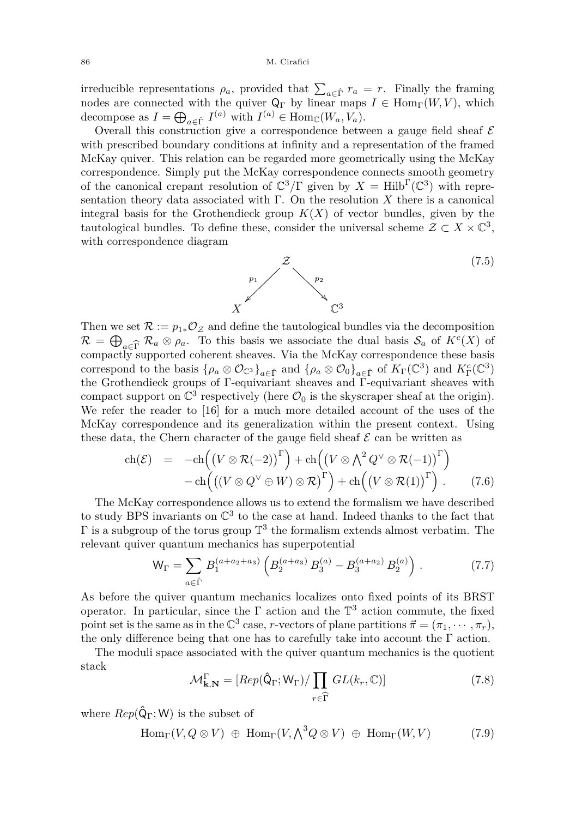irreducible representations  $\rho_a$ , provided that  $\sum_{a \in \hat{\Gamma}} r_a = r$ . Finally the framing nodes are connected with the quiver  $Q_{\Gamma}$  by linear maps  $I \in \text{Hom}_{\Gamma}(W, V)$ , which decompose as  $I = \bigoplus_{a \in \hat{\Gamma}} I^{(a)}$  with  $I^{(a)} \in \text{Hom}_{\mathbb{C}}(W_a, V_a)$ .

Overall this construction give a correspondence between a gauge field sheaf  ${\mathcal E}$ with prescribed boundary conditions at infinity and a representation of the framed McKay quiver. This relation can be regarded more geometrically using the McKay correspondence. Simply put the McKay correspondence connects smooth geometry of the canonical crepant resolution of  $\mathbb{C}^3/\Gamma$  given by  $X = \text{Hilb}^{\Gamma}(\mathbb{C}^3)$  with representation theory data associated with Γ. On the resolution *X* there is a canonical integral basis for the Grothendieck group  $K(X)$  of vector bundles, given by the tautological bundles. To define these, consider the universal scheme  $\mathcal{Z} \subset X \times \mathbb{C}^3$ , with correspondence diagram



(7.5)

Then we set  $\mathcal{R} := p_{1*}\mathcal{O}_{\mathcal{Z}}$  and define the tautological bundles via the decomposition  $\mathcal{R} = \bigoplus_{a \in \widehat{\Gamma}} \mathcal{R}_a \otimes \rho_a$ . To this basis we associate the dual basis  $\mathcal{S}_a$  of  $K^c(X)$  of compactly supported coherent sheaves. Via the McKay correspondence these basis compactly supported coherent sheaves. Via the McKay correspondence these basis correspond to the basis  $\{\rho_a \otimes \mathcal{O}_{\mathbb{C}^3}\}_{a \in \hat{\Gamma}}$  and  $\{\rho_a \otimes \mathcal{O}_0\}_{a \in \hat{\Gamma}}$  of  $K_{\Gamma}(\mathbb{C}^3)$  and  $K_{\Gamma}^c(\mathbb{C}^3)$ the Grothendieck groups of Γ-equivariant sheaves and Γ-equivariant sheaves with compact support on  $\mathbb{C}^3$  respectively (here  $\mathcal{O}_0$  is the skyscraper sheaf at the origin). We refer the reader to [\[16\]](#page-28-6) for a much more detailed account of the uses of the McKay correspondence and its generalization within the present context. Using these data, the Chern character of the gauge field sheaf  $\mathcal E$  can be written as

<span id="page-16-0"></span>
$$
\operatorname{ch}(\mathcal{E}) = -\operatorname{ch}\left(\left(V \otimes \mathcal{R}(-2)\right)^{\Gamma}\right) + \operatorname{ch}\left(\left(V \otimes \bigwedge^{2} Q^{\vee} \otimes \mathcal{R}(-1)\right)^{\Gamma}\right) \n- \operatorname{ch}\left(\left(\left(V \otimes Q^{\vee} \oplus W\right) \otimes \mathcal{R}\right)^{\Gamma}\right) + \operatorname{ch}\left(\left(V \otimes \mathcal{R}(1)\right)^{\Gamma}\right). \tag{7.6}
$$

The McKay correspondence allows us to extend the formalism we have described to study BPS invariants on  $\mathbb{C}^3$  to the case at hand. Indeed thanks to the fact that  $\Gamma$  is a subgroup of the torus group  $\mathbb{T}^3$  the formalism extends almost verbatim. The relevant quiver quantum mechanics has superpotential

$$
\mathsf{W}_{\Gamma} = \sum_{a \in \hat{\Gamma}} B_1^{(a+a_2+a_3)} \left( B_2^{(a+a_3)} B_3^{(a)} - B_3^{(a+a_2)} B_2^{(a)} \right) . \tag{7.7}
$$

As before the quiver quantum mechanics localizes onto fixed points of its BRST operator. In particular, since the  $\Gamma$  action and the  $\mathbb{T}^3$  action commute, the fixed point set is the same as in the  $\mathbb{C}^3$  case, *r*-vectors of plane partitions  $\vec{\pi} = (\pi_1, \cdots, \pi_r)$ , the only difference being that one has to carefully take into account the  $\Gamma$  action.

The moduli space associated with the quiver quantum mechanics is the quotient stack

$$
\mathcal{M}_{\mathbf{k},\mathbf{N}}^{\Gamma} = [Rep(\hat{\mathbf{Q}}_{\Gamma}; \mathbf{W}_{\Gamma}) / \prod_{r \in \widehat{\Gamma}} GL(k_r, \mathbb{C})]
$$
(7.8)

where  $Rep(\hat{Q}_{\Gamma}; W)$  is the subset of

$$
\text{Hom}_{\Gamma}(V, Q \otimes V) \oplus \text{Hom}_{\Gamma}(V, \bigwedge^3 Q \otimes V) \oplus \text{Hom}_{\Gamma}(W, V) \tag{7.9}
$$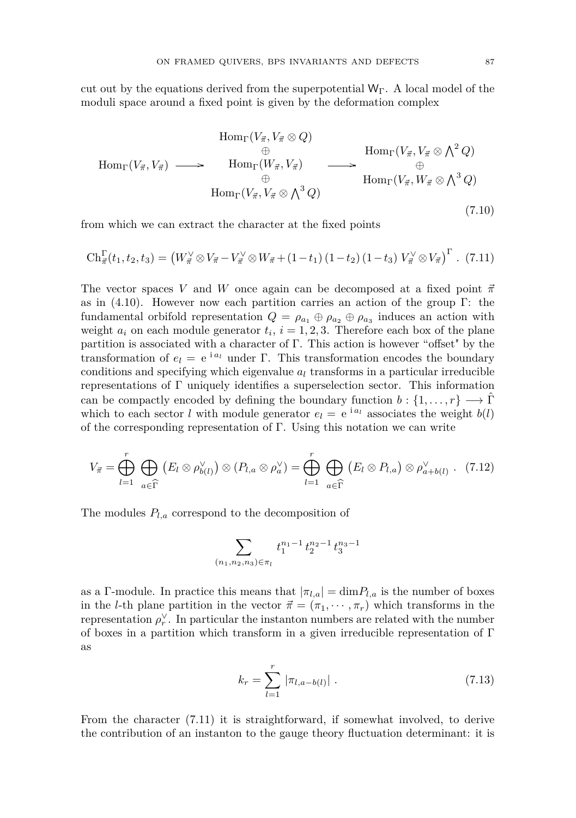cut out by the equations derived from the superpotential  $W_{\Gamma}$ . A local model of the moduli space around a fixed point is given by the deformation complex

$$
\text{Hom}_{\Gamma}(V_{\vec{\pi}}, V_{\vec{\pi}} \otimes Q) \qquad \oplus \qquad \text{Hom}_{\Gamma}(V_{\vec{\pi}}, V_{\vec{\pi}} \otimes \Lambda^2 Q) \n\oplus \qquad \text{Hom}_{\Gamma}(V_{\vec{\pi}}, V_{\vec{\pi}} \otimes \Lambda^3 Q) \n\oplus \qquad \text{Hom}_{\Gamma}(V_{\vec{\pi}}, V_{\vec{\pi}} \otimes \Lambda^3 Q) \n\tag{7.10}
$$

from which we can extract the character at the fixed points

<span id="page-17-0"></span>
$$
\mathrm{Ch}_{\vec{\pi}}^{\Gamma}(t_1, t_2, t_3) = \left(W_{\vec{\pi}}^{\vee} \otimes V_{\vec{\pi}} - V_{\vec{\pi}}^{\vee} \otimes W_{\vec{\pi}} + (1 - t_1) (1 - t_2) (1 - t_3) V_{\vec{\pi}}^{\vee} \otimes V_{\vec{\pi}}\right)^{\Gamma}.
$$
 (7.11)

The vector spaces *V* and *W* once again can be decomposed at a fixed point  $\vec{\pi}$ as in [\(4.10\)](#page-11-1). However now each partition carries an action of the group Γ: the fundamental orbifold representation  $Q = \rho_{a_1} \oplus \rho_{a_2} \oplus \rho_{a_3}$  induces an action with weight  $a_i$  on each module generator  $t_i$ ,  $i = 1, 2, 3$ . Therefore each box of the plane partition is associated with a character of Γ. This action is however "offset" by the transformation of  $e_l = e^{i a_l}$  under Γ. This transformation encodes the boundary conditions and specifying which eigenvalue *a<sup>l</sup>* transforms in a particular irreducible representations of Γ uniquely identifies a superselection sector. This information can be compactly encoded by defining the boundary function  $b: \{1, \ldots, r\} \longrightarrow \hat{\Gamma}$ which to each sector *l* with module generator  $e_l = e^{i a_l}$  associates the weight  $b(l)$ of the corresponding representation of Γ. Using this notation we can write

$$
V_{\vec{\pi}} = \bigoplus_{l=1}^{r} \bigoplus_{a \in \widehat{\Gamma}} (E_l \otimes \rho_{b(l)}^{\vee}) \otimes (P_{l,a} \otimes \rho_a^{\vee}) = \bigoplus_{l=1}^{r} \bigoplus_{a \in \widehat{\Gamma}} (E_l \otimes P_{l,a}) \otimes \rho_{a+b(l)}^{\vee} . \tag{7.12}
$$

The modules  $P_{l,a}$  correspond to the decomposition of

$$
\sum_{(n_1,n_2,n_3)\in \pi_l} t_1^{n_1-1}\,t_2^{n_2-1}\,t_3^{n_3-1}
$$

as a Γ-module. In practice this means that  $|\pi_{l,a}| = \dim P_{l,a}$  is the number of boxes in the *l*-th plane partition in the vector  $\vec{\pi} = (\pi_1, \dots, \pi_r)$  which transforms in the representation  $\rho_r^{\vee}$ . In particular the instanton numbers are related with the number of boxes in a partition which transform in a given irreducible representation of  $\Gamma$ as

$$
k_r = \sum_{l=1}^r |\pi_{l,a-b(l)}| \ . \tag{7.13}
$$

From the character [\(7.11\)](#page-17-0) it is straightforward, if somewhat involved, to derive the contribution of an instanton to the gauge theory fluctuation determinant: it is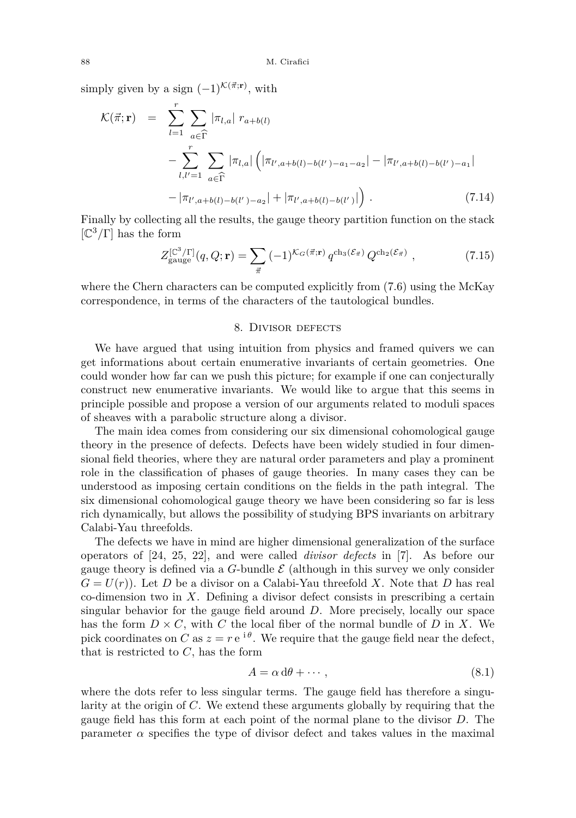simply given by a sign  $(-1)^{\mathcal{K}(\vec{\pi}; \mathbf{r})}$ , with

$$
\mathcal{K}(\vec{\pi}; \mathbf{r}) = \sum_{l=1}^{r} \sum_{a \in \widehat{\Gamma}} |\pi_{l,a}| r_{a+b(l)} \n- \sum_{l,l'=1}^{r} \sum_{a \in \widehat{\Gamma}} |\pi_{l,a}| \left( |\pi_{l',a+b(l)-b(l')-a_1-a_2}| - |\pi_{l',a+b(l)-b(l')-a_1}| \n- |\pi_{l',a+b(l)-b(l')-a_2}| + |\pi_{l',a+b(l)-b(l')}| \right).
$$
\n(7.14)

Finally by collecting all the results, the gauge theory partition function on the stack [C <sup>3</sup>*/*Γ] has the form

$$
Z_{\text{gauge}}^{[\mathbb{C}^3/\Gamma]}(q, Q; \mathbf{r}) = \sum_{\vec{\pi}} (-1)^{\mathcal{K}_G(\vec{\pi}; \mathbf{r})} q^{\text{ch}_3(\mathcal{E}_{\vec{\pi}})} Q^{\text{ch}_2(\mathcal{E}_{\vec{\pi}})}, \qquad (7.15)
$$

where the Chern characters can be computed explicitly from [\(7.6\)](#page-16-0) using the McKay correspondence, in terms of the characters of the tautological bundles.

#### 8. DIVISOR DEFECTS

<span id="page-18-0"></span>We have argued that using intuition from physics and framed quivers we can get informations about certain enumerative invariants of certain geometries. One could wonder how far can we push this picture; for example if one can conjecturally construct new enumerative invariants. We would like to argue that this seems in principle possible and propose a version of our arguments related to moduli spaces of sheaves with a parabolic structure along a divisor.

The main idea comes from considering our six dimensional cohomological gauge theory in the presence of defects. Defects have been widely studied in four dimensional field theories, where they are natural order parameters and play a prominent role in the classification of phases of gauge theories. In many cases they can be understood as imposing certain conditions on the fields in the path integral. The six dimensional cohomological gauge theory we have been considering so far is less rich dynamically, but allows the possibility of studying BPS invariants on arbitrary Calabi-Yau threefolds.

The defects we have in mind are higher dimensional generalization of the surface operators of [\[24,](#page-28-20) [25,](#page-28-21) [22\]](#page-28-8), and were called *divisor defects* in [\[7\]](#page-28-10). As before our gauge theory is defined via a  $G$ -bundle  $\mathcal E$  (although in this survey we only consider  $G = U(r)$ ). Let *D* be a divisor on a Calabi-Yau threefold *X*. Note that *D* has real co-dimension two in *X*. Defining a divisor defect consists in prescribing a certain singular behavior for the gauge field around *D*. More precisely, locally our space has the form  $D \times C$ , with *C* the local fiber of the normal bundle of *D* in *X*. We pick coordinates on *C* as  $z = r e^{i\theta}$ . We require that the gauge field near the defect, that is restricted to *C*, has the form

$$
A = \alpha \, d\theta + \cdots,\tag{8.1}
$$

where the dots refer to less singular terms. The gauge field has therefore a singularity at the origin of *C*. We extend these arguments globally by requiring that the gauge field has this form at each point of the normal plane to the divisor *D*. The parameter  $\alpha$  specifies the type of divisor defect and takes values in the maximal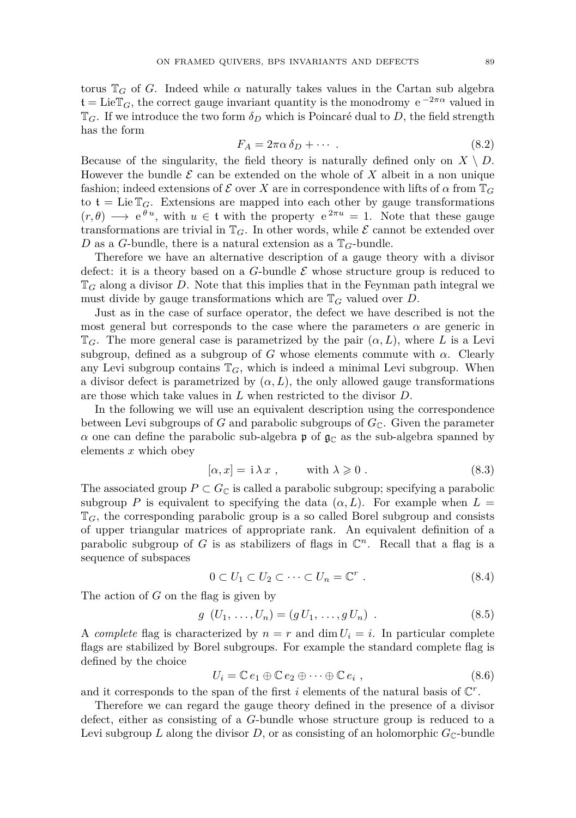torus  $\mathbb{T}_G$  of *G*. Indeed while  $\alpha$  naturally takes values in the Cartan sub algebra  $\mathfrak{t} = \text{Lie} \mathbb{T}_G$ , the correct gauge invariant quantity is the monodromy  $e^{-2\pi\alpha}$  valued in  $\mathbb{T}_G$ . If we introduce the two form  $\delta_D$  which is Poincaré dual to *D*, the field strength has the form

$$
F_A = 2\pi\alpha \,\delta_D + \cdots \tag{8.2}
$$

Because of the singularity, the field theory is naturally defined only on  $X \setminus D$ . However the bundle  $\mathcal E$  can be extended on the whole of  $X$  albeit in a non unique fashion; indeed extensions of  $\mathcal E$  over X are in correspondence with lifts of  $\alpha$  from  $\mathbb T_G$ to  $t = \text{Lie } \mathbb{T}_G$ . Extensions are mapped into each other by gauge transformations  $(r, \theta) \longrightarrow e^{\theta u}$ , with  $u \in \mathfrak{t}$  with the property  $e^{2\pi u} = 1$ . Note that these gauge transformations are trivial in  $\mathbb{T}_G$ . In other words, while  $\mathcal E$  cannot be extended over *D* as a *G*-bundle, there is a natural extension as a  $\mathbb{T}_G$ -bundle.

Therefore we have an alternative description of a gauge theory with a divisor defect: it is a theory based on a  $G$ -bundle  $\mathcal E$  whose structure group is reduced to  $\mathbb{T}_G$  along a divisor *D*. Note that this implies that in the Feynman path integral we must divide by gauge transformations which are T*<sup>G</sup>* valued over *D*.

Just as in the case of surface operator, the defect we have described is not the most general but corresponds to the case where the parameters  $\alpha$  are generic in  $\mathbb{T}_G$ . The more general case is parametrized by the pair  $(\alpha, L)$ , where L is a Levi subgroup, defined as a subgroup of *G* whose elements commute with  $\alpha$ . Clearly any Levi subgroup contains  $\mathbb{T}_G$ , which is indeed a minimal Levi subgroup. When a divisor defect is parametrized by  $(\alpha, L)$ , the only allowed gauge transformations are those which take values in *L* when restricted to the divisor *D*.

In the following we will use an equivalent description using the correspondence between Levi subgroups of *G* and parabolic subgroups of  $G_{\mathbb{C}}$ . Given the parameter *α* one can define the parabolic sub-algebra **p** of  $\mathfrak{g}_\mathbb{C}$  as the sub-algebra spanned by elements *x* which obey

$$
[\alpha, x] = i \lambda x , \qquad \text{with } \lambda \geqslant 0 . \tag{8.3}
$$

The associated group  $P \subset G_{\mathbb{C}}$  is called a parabolic subgroup; specifying a parabolic subgroup *P* is equivalent to specifying the data  $(\alpha, L)$ . For example when  $L =$ T*G*, the corresponding parabolic group is a so called Borel subgroup and consists of upper triangular matrices of appropriate rank. An equivalent definition of a parabolic subgroup of  $G$  is as stabilizers of flags in  $\mathbb{C}^n$ . Recall that a flag is a sequence of subspaces

$$
0 \subset U_1 \subset U_2 \subset \cdots \subset U_n = \mathbb{C}^r . \tag{8.4}
$$

The action of *G* on the flag is given by

$$
g\ (U_1, \ldots, U_n) = (g \ U_1, \ldots, g \ U_n) \ . \tag{8.5}
$$

A *complete* flag is characterized by  $n = r$  and dim  $U_i = i$ . In particular complete flags are stabilized by Borel subgroups. For example the standard complete flag is defined by the choice

$$
U_i = \mathbb{C} e_1 \oplus \mathbb{C} e_2 \oplus \cdots \oplus \mathbb{C} e_i , \qquad (8.6)
$$

and it corresponds to the span of the first  $i$  elements of the natural basis of  $\mathbb{C}^r$ .

Therefore we can regard the gauge theory defined in the presence of a divisor defect, either as consisting of a *G*-bundle whose structure group is reduced to a Levi subgroup *L* along the divisor *D*, or as consisting of an holomorphic  $G_{\mathbb{C}}$ -bundle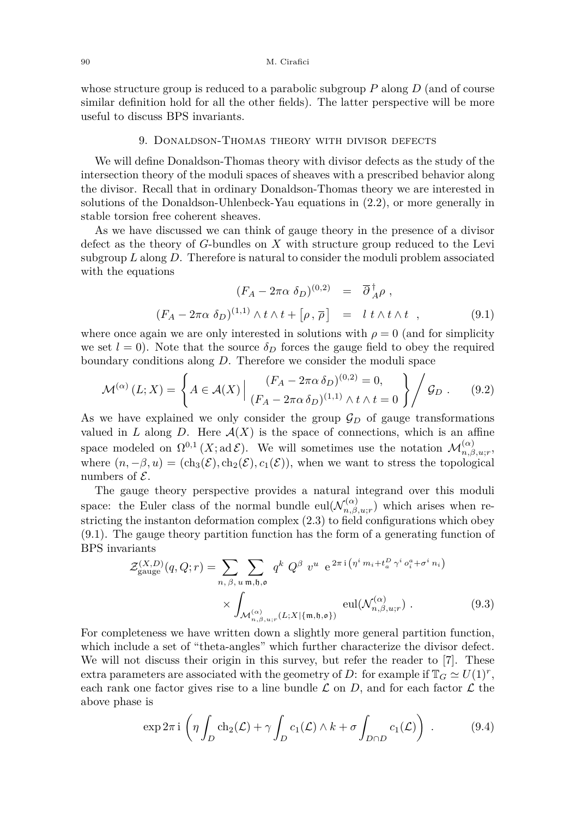whose structure group is reduced to a parabolic subgroup *P* along *D* (and of course similar definition hold for all the other fields). The latter perspective will be more useful to discuss BPS invariants.

#### 9. Donaldson-Thomas theory with divisor defects

We will define Donaldson-Thomas theory with divisor defects as the study of the intersection theory of the moduli spaces of sheaves with a prescribed behavior along the divisor. Recall that in ordinary Donaldson-Thomas theory we are interested in solutions of the Donaldson-Uhlenbeck-Yau equations in [\(2.2\)](#page-6-0), or more generally in stable torsion free coherent sheaves.

As we have discussed we can think of gauge theory in the presence of a divisor defect as the theory of *G*-bundles on *X* with structure group reduced to the Levi subgroup *L* along *D*. Therefore is natural to consider the moduli problem associated with the equations

<span id="page-20-0"></span>
$$
(F_A - 2\pi\alpha \delta_D)^{(0,2)} = \overline{\partial}_{A}^{\dagger} \rho ,
$$
  

$$
(F_A - 2\pi\alpha \delta_D)^{(1,1)} \wedge t \wedge t + [\rho, \overline{\rho}] = l \ t \wedge t \wedge t , \qquad (9.1)
$$

where once again we are only interested in solutions with  $\rho = 0$  (and for simplicity we set  $l = 0$ ). Note that the source  $\delta_D$  forces the gauge field to obey the required boundary conditions along *D*. Therefore we consider the moduli space

<span id="page-20-1"></span>
$$
\mathcal{M}^{(\alpha)}(L;X) = \left\{ A \in \mathcal{A}(X) \, \middle| \, \frac{(F_A - 2\pi\alpha \,\delta_D)^{(0,2)} = 0,}{(F_A - 2\pi\alpha \,\delta_D)^{(1,1)} \wedge t \wedge t = 0} \right\} \Bigg/ \mathcal{G}_D \,. \tag{9.2}
$$

As we have explained we only consider the group  $\mathcal{G}_D$  of gauge transformations valued in  $L$  along  $D$ . Here  $\mathcal{A}(X)$  is the space of connections, which is an affine space modeled on  $\Omega^{0,1}(X; \mathrm{ad}\mathcal{E})$ . We will sometimes use the notation  $\mathcal{M}_{n,\beta,u;r}^{(\alpha)}$ , where  $(n, -\beta, u) = (\text{ch}_3(\mathcal{E}), \text{ch}_2(\mathcal{E}), c_1(\mathcal{E}))$ , when we want to stress the topological numbers of  $\mathcal{E}$ .

The gauge theory perspective provides a natural integrand over this moduli space: the Euler class of the normal bundle eul $(\mathcal{N}_{n,\beta}^{(\alpha)})$  $f_{n,\beta,u;r}^{(\alpha)}$  which arises when restricting the instanton deformation complex [\(2.3\)](#page-6-1) to field configurations which obey [\(9.1\)](#page-20-0). The gauge theory partition function has the form of a generating function of BPS invariants

<span id="page-20-2"></span>
$$
\mathcal{Z}_{\text{gauge}}^{(X,D)}(q,Q;r) = \sum_{n,\,\beta,\,u \text{ m},\mathfrak{h},\mathfrak{o}} \sum_{m,\,\beta,\,u \text{ m},\mathfrak{h},\mathfrak{o}} q^k Q^{\beta} v^u e^{2\pi i \left(\eta^i m_i + t_a^D \gamma^i \sigma_i^a + \sigma^i n_i\right)}
$$
\n
$$
\times \int_{\mathcal{M}_{n,\beta,u;r}^{(\alpha)}(L;X|\{\mathfrak{m},\mathfrak{h},\mathfrak{o}\})} \text{eul}(\mathcal{N}_{n,\beta,u;r}^{(\alpha)}) . \tag{9.3}
$$

For completeness we have written down a slightly more general partition function, which include a set of "theta-angles" which further characterize the divisor defect. We will not discuss their origin in this survey, but refer the reader to [\[7\]](#page-28-10). These extra parameters are associated with the geometry of *D*: for example if  $\mathbb{T}_G \simeq U(1)^r$ , each rank one factor gives rise to a line bundle  $\mathcal L$  on  $D$ , and for each factor  $\mathcal L$  the above phase is

$$
\exp 2\pi i \left( \eta \int_D ch_2(\mathcal{L}) + \gamma \int_D c_1(\mathcal{L}) \wedge k + \sigma \int_{D \cap D} c_1(\mathcal{L}) \right) . \tag{9.4}
$$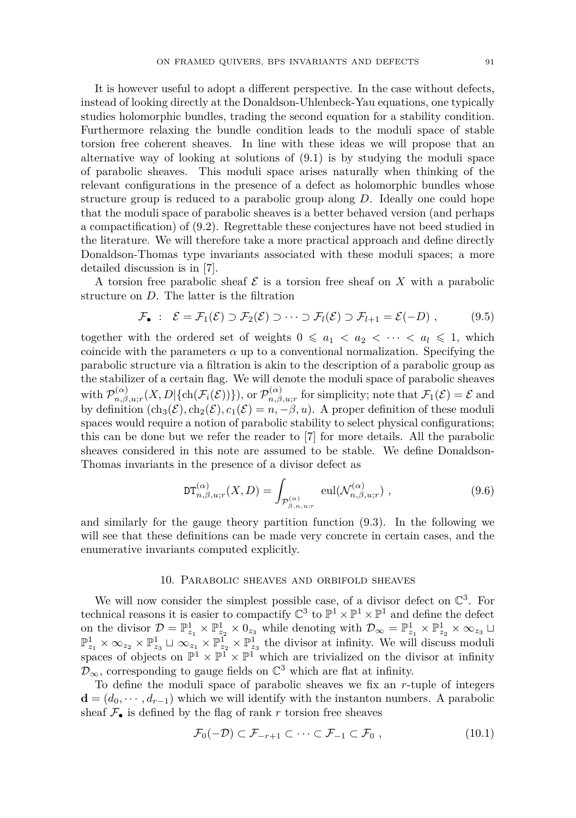It is however useful to adopt a different perspective. In the case without defects, instead of looking directly at the Donaldson-Uhlenbeck-Yau equations, one typically studies holomorphic bundles, trading the second equation for a stability condition. Furthermore relaxing the bundle condition leads to the moduli space of stable torsion free coherent sheaves. In line with these ideas we will propose that an alternative way of looking at solutions of [\(9.1\)](#page-20-0) is by studying the moduli space of parabolic sheaves. This moduli space arises naturally when thinking of the relevant configurations in the presence of a defect as holomorphic bundles whose structure group is reduced to a parabolic group along *D*. Ideally one could hope that the moduli space of parabolic sheaves is a better behaved version (and perhaps a compactification) of [\(9.2\)](#page-20-1). Regrettable these conjectures have not beed studied in the literature. We will therefore take a more practical approach and define directly Donaldson-Thomas type invariants associated with these moduli spaces; a more detailed discussion is in [\[7\]](#page-28-10).

A torsion free parabolic sheaf  $\mathcal E$  is a torsion free sheaf on  $X$  with a parabolic structure on *D*. The latter is the filtration

$$
\mathcal{F}_{\bullet}: \ \mathcal{E} = \mathcal{F}_1(\mathcal{E}) \supset \mathcal{F}_2(\mathcal{E}) \supset \cdots \supset \mathcal{F}_l(\mathcal{E}) \supset \mathcal{F}_{l+1} = \mathcal{E}(-D) , \qquad (9.5)
$$

together with the ordered set of weights  $0 \leq a_1 < a_2 < \cdots < a_l \leq 1$ , which coincide with the parameters  $\alpha$  up to a conventional normalization. Specifying the parabolic structure via a filtration is akin to the description of a parabolic group as the stabilizer of a certain flag. We will denote the moduli space of parabolic sheaves with  $\mathcal{P}_{n,\beta}^{(\alpha)}$  $p_{n,\beta,u;r}^{(\alpha)}(X,D|\{\ch(\mathcal{F}_i(\mathcal{E}))\}),$  or  $\mathcal{P}_{n,\beta}^{(\alpha)}$  $\mathcal{F}_1(\mathcal{C})$ <sub>*n*,*β*,*u*;*r*</sub> for simplicity; note that  $\mathcal{F}_1(\mathcal{E}) = \mathcal{E}$  and by definition  $(\text{ch}_3(\mathcal{E}), \text{ch}_2(\mathcal{E}), c_1(\mathcal{E}) = n, -\beta, u)$ . A proper definition of these moduli spaces would require a notion of parabolic stability to select physical configurations; this can be done but we refer the reader to [\[7\]](#page-28-10) for more details. All the parabolic sheaves considered in this note are assumed to be stable. We define Donaldson-Thomas invariants in the presence of a divisor defect as

$$
\mathrm{DT}_{n,\beta,u;r}^{(\alpha)}(X,D) = \int_{\mathcal{P}_{\beta,n,u;r}^{(\alpha)}} \mathrm{eul}(\mathcal{N}_{n,\beta,u;r}^{(\alpha)}) ,\qquad (9.6)
$$

and similarly for the gauge theory partition function [\(9.3\)](#page-20-2). In the following we will see that these definitions can be made very concrete in certain cases, and the enumerative invariants computed explicitly.

#### 10. Parabolic sheaves and orbifold sheaves

We will now consider the simplest possible case, of a divisor defect on  $\mathbb{C}^3$ . For technical reasons it is easier to compactify  $\mathbb{C}^3$  to  $\mathbb{P}^1 \times \mathbb{P}^1 \times \mathbb{P}^1$  and define the defect on the divisor  $\mathcal{D} = \mathbb{P}_{z_1}^1 \times \mathbb{P}_{z_2}^1 \times 0_{z_3}$  while denoting with  $\mathcal{D}_{\infty} = \mathbb{P}_{z_1}^1 \times \mathbb{P}_{z_2}^1 \times \infty_{z_3}$   $\Box$  $\mathbb{P}^1_{z_1} \times \infty_{z_2} \times \mathbb{P}^1_{z_3} \sqcup \infty_{z_1} \times \mathbb{P}^1_{z_2} \times \mathbb{P}^1_{z_3}$  the divisor at infinity. We will discuss moduli spaces of objects on  $\mathbb{P}^1 \times \mathbb{P}^1 \times \mathbb{P}^1$  which are trivialized on the divisor at infinity  $\mathcal{D}_{\infty}$ , corresponding to gauge fields on  $\mathbb{C}^3$  which are flat at infinity.

To define the moduli space of parabolic sheaves we fix an *r*-tuple of integers  $\mathbf{d} = (d_0, \dots, d_{r-1})$  which we will identify with the instanton numbers. A parabolic sheaf  $\mathcal{F}_{\bullet}$  is defined by the flag of rank r torsion free sheaves

$$
\mathcal{F}_0(-\mathcal{D}) \subset \mathcal{F}_{-r+1} \subset \cdots \subset \mathcal{F}_{-1} \subset \mathcal{F}_0 , \qquad (10.1)
$$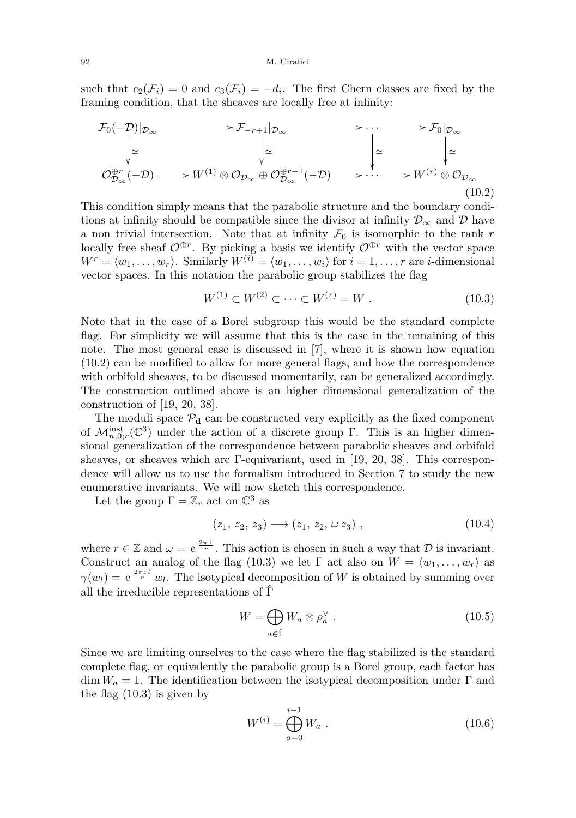#### 92 M. Cirafici

such that  $c_2(\mathcal{F}_i) = 0$  and  $c_3(\mathcal{F}_i) = -d_i$ . The first Chern classes are fixed by the framing condition, that the sheaves are locally free at infinity:

<span id="page-22-0"></span>
$$
\mathcal{F}_0(-\mathcal{D})|_{\mathcal{D}_{\infty}} \longrightarrow \mathcal{F}_{-r+1}|_{\mathcal{D}_{\infty}} \longrightarrow \cdots \longrightarrow \mathcal{F}_0|_{\mathcal{D}_{\infty}}
$$
\n
$$
\downarrow \simeq \qquad \qquad \downarrow \simeq \qquad \qquad \downarrow \simeq \qquad \qquad \downarrow \simeq \qquad \qquad \downarrow \simeq
$$
\n
$$
\mathcal{O}_{\mathcal{D}_{\infty}}^{\oplus r}(-\mathcal{D}) \longrightarrow W^{(1)} \otimes \mathcal{O}_{\mathcal{D}_{\infty}} \oplus \mathcal{O}_{\mathcal{D}_{\infty}}^{\oplus r-1}(-\mathcal{D}) \longrightarrow \cdots \longrightarrow W^{(r)} \otimes \mathcal{O}_{\mathcal{D}_{\infty}}
$$
\n(10.2)

This condition simply means that the parabolic structure and the boundary conditions at infinity should be compatible since the divisor at infinity  $\mathcal{D}_{\infty}$  and  $\mathcal{D}$  have a non trivial intersection. Note that at infinity  $\mathcal{F}_0$  is isomorphic to the rank  $r$ locally free sheaf  $\mathcal{O}^{\oplus r}$ . By picking a basis we identify  $\mathcal{O}^{\oplus r}$  with the vector space  $W^r = \langle w_1, \ldots, w_r \rangle$ . Similarly  $W^{(i)} = \langle w_1, \ldots, w_i \rangle$  for  $i = 1, \ldots, r$  are *i*-dimensional vector spaces. In this notation the parabolic group stabilizes the flag

<span id="page-22-1"></span>
$$
W^{(1)} \subset W^{(2)} \subset \cdots \subset W^{(r)} = W . \tag{10.3}
$$

Note that in the case of a Borel subgroup this would be the standard complete flag. For simplicity we will assume that this is the case in the remaining of this note. The most general case is discussed in [\[7\]](#page-28-10), where it is shown how equation [\(10.2\)](#page-22-0) can be modified to allow for more general flags, and how the correspondence with orbifold sheaves, to be discussed momentarily, can be generalized accordingly. The construction outlined above is an higher dimensional generalization of the construction of [\[19,](#page-28-22) [20,](#page-28-23) [38\]](#page-29-16).

The moduli space  $P_d$  can be constructed very explicitly as the fixed component of  $\mathcal{M}_{n,0; r}^{\text{inst}}(\mathbb{C}^3)$  under the action of a discrete group Γ. This is an higher dimensional generalization of the correspondence between parabolic sheaves and orbifold sheaves, or sheaves which are Γ-equivariant, used in [\[19,](#page-28-22) [20,](#page-28-23) [38\]](#page-29-16). This correspondence will allow us to use the formalism introduced in Section [7](#page-14-0) to study the new enumerative invariants. We will now sketch this correspondence.

Let the group  $\Gamma = \mathbb{Z}_r$  act on  $\mathbb{C}^3$  as

<span id="page-22-2"></span>
$$
(z_1, z_2, z_3) \longrightarrow (z_1, z_2, \omega z_3) , \qquad (10.4)
$$

where  $r \in \mathbb{Z}$  and  $\omega = e^{\frac{2\pi i}{r}}$ . This action is chosen in such a way that  $\mathcal{D}$  is invariant. Construct an analog of the flag [\(10.3\)](#page-22-1) we let  $\Gamma$  act also on  $W = \langle w_1, \ldots, w_r \rangle$  as  $\gamma(w_l) = e^{\frac{2\pi i l}{r}} w_l$ . The isotypical decomposition of *W* is obtained by summing over all the irreducible representations of  $\hat{\Gamma}$ 

$$
W = \bigoplus_{a \in \hat{\Gamma}} W_a \otimes \rho_a^{\vee} . \tag{10.5}
$$

Since we are limiting ourselves to the case where the flag stabilized is the standard complete flag, or equivalently the parabolic group is a Borel group, each factor has dim  $W_a = 1$ . The identification between the isotypical decomposition under  $\Gamma$  and the flag [\(10.3\)](#page-22-1) is given by

<span id="page-22-3"></span>
$$
W^{(i)} = \bigoplus_{a=0}^{i-1} W_a . \tag{10.6}
$$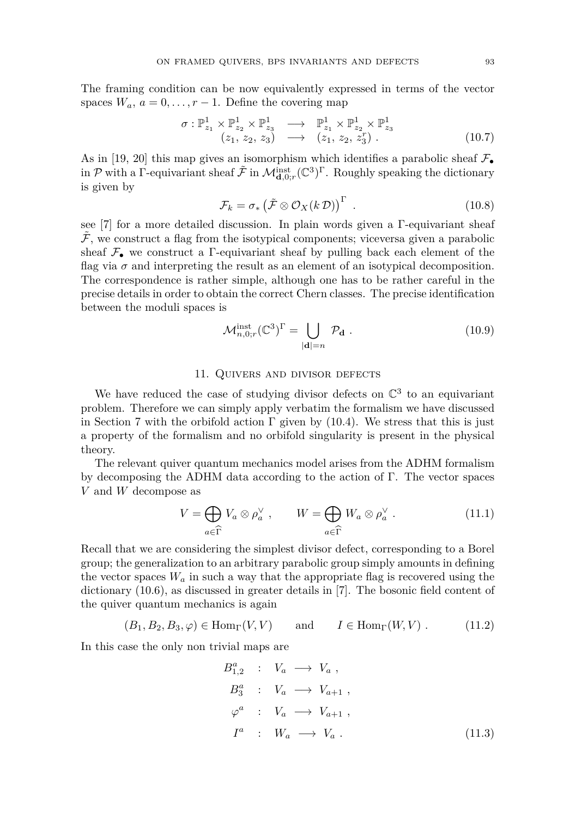The framing condition can be now equivalently expressed in terms of the vector spaces  $W_a$ ,  $a = 0, \ldots, r - 1$ . Define the covering map

$$
\begin{array}{rcl}\n\sigma: \mathbb{P}^1_{z_1} \times \mathbb{P}^1_{z_2} \times \mathbb{P}^1_{z_3} & \longrightarrow & \mathbb{P}^1_{z_1} \times \mathbb{P}^1_{z_2} \times \mathbb{P}^1_{z_3} \\
(z_1, z_2, z_3) & \longrightarrow & (z_1, z_2, z_3^r)\n\end{array} \tag{10.7}
$$

As in [\[19,](#page-28-22) [20\]](#page-28-23) this map gives an isomorphism which identifies a parabolic sheaf  $\mathcal{F}_{\bullet}$ in  $\mathcal P$  with a  $\Gamma$ -equivariant sheaf  $\tilde{\mathcal F}$  in  $\mathcal M_{\mathbf d,0;r}^{\mathrm{inst}}(\mathbb C^3)^\Gamma$ . Roughly speaking the dictionary is given by

$$
\mathcal{F}_k = \sigma_* \left( \tilde{\mathcal{F}} \otimes \mathcal{O}_X(k \, \mathcal{D}) \right)^{\Gamma} \tag{10.8}
$$

see [\[7\]](#page-28-10) for a more detailed discussion. In plain words given a Γ-equivariant sheaf  $F$ , we construct a flag from the isotypical components; viceversa given a parabolic sheaf  $\mathcal{F}_{\bullet}$  we construct a  $\Gamma$ -equivariant sheaf by pulling back each element of the flag via  $\sigma$  and interpreting the result as an element of an isotypical decomposition. The correspondence is rather simple, although one has to be rather careful in the precise details in order to obtain the correct Chern classes. The precise identification between the moduli spaces is

$$
\mathcal{M}_{n,0;r}^{\text{inst}}(\mathbb{C}^3)^{\Gamma} = \bigcup_{|\mathbf{d}|=n} \mathcal{P}_{\mathbf{d}}.
$$
 (10.9)

## 11. Quivers and divisor defects

We have reduced the case of studying divisor defects on  $\mathbb{C}^3$  to an equivariant problem. Therefore we can simply apply verbatim the formalism we have discussed in Section [7](#page-14-0) with the orbifold action  $\Gamma$  given by [\(10.4\)](#page-22-2). We stress that this is just a property of the formalism and no orbifold singularity is present in the physical theory.

The relevant quiver quantum mechanics model arises from the ADHM formalism by decomposing the ADHM data according to the action of Γ. The vector spaces *V* and *W* decompose as

<span id="page-23-0"></span>
$$
V = \bigoplus_{a \in \widehat{\Gamma}} V_a \otimes \rho_a^{\vee} , \qquad W = \bigoplus_{a \in \widehat{\Gamma}} W_a \otimes \rho_a^{\vee} . \tag{11.1}
$$

Recall that we are considering the simplest divisor defect, corresponding to a Borel group; the generalization to an arbitrary parabolic group simply amounts in defining the vector spaces  $W_a$  in such a way that the appropriate flag is recovered using the dictionary  $(10.6)$ , as discussed in greater details in [\[7\]](#page-28-10). The bosonic field content of the quiver quantum mechanics is again

$$
(B_1, B_2, B_3, \varphi) \in \text{Hom}_{\Gamma}(V, V) \quad \text{and} \quad I \in \text{Hom}_{\Gamma}(W, V) . \quad (11.2)
$$

In this case the only non trivial maps are

$$
B_{1,2}^{a} : V_a \longrightarrow V_a ,
$$
  
\n
$$
B_3^{a} : V_a \longrightarrow V_{a+1} ,
$$
  
\n
$$
\varphi^{a} : V_a \longrightarrow V_{a+1} ,
$$
  
\n
$$
I^a : W_a \longrightarrow V_a .
$$
\n(11.3)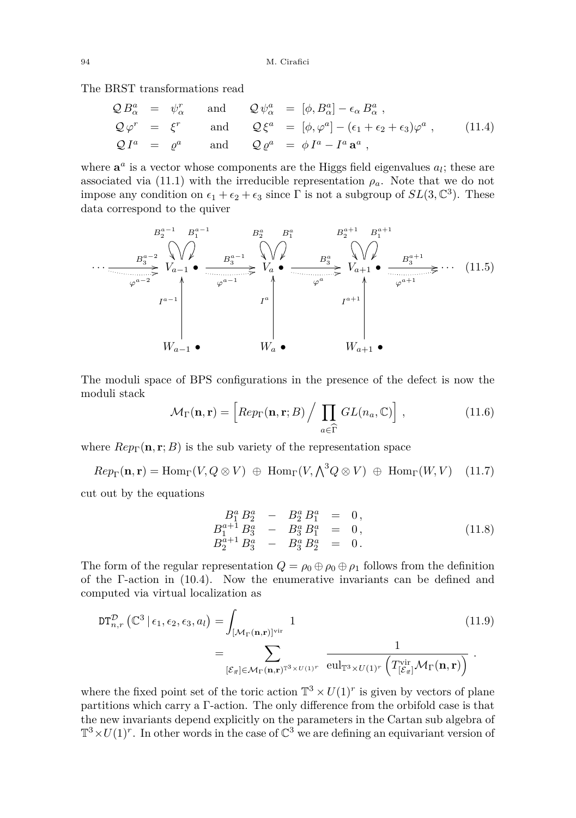The BRST transformations read

$$
Q B_{\alpha}^{a} = \psi_{\alpha}^{r} \text{ and } Q \psi_{\alpha}^{a} = [\phi, B_{\alpha}^{a}] - \epsilon_{\alpha} B_{\alpha}^{a},
$$
  
\n
$$
Q \varphi^{r} = \xi^{r} \text{ and } Q \xi^{a} = [\phi, \varphi^{a}] - (\epsilon_{1} + \epsilon_{2} + \epsilon_{3}) \varphi^{a},
$$
  
\n
$$
Q I^{a} = \varrho^{a} \text{ and } Q \varrho^{a} = \phi I^{a} - I^{a} \mathbf{a}^{a},
$$
\n(11.4)

where  $\mathbf{a}^a$  is a vector whose components are the Higgs field eigenvalues  $a_l$ ; these are associated via [\(11.1\)](#page-23-0) with the irreducible representation  $\rho_a$ . Note that we do not impose any condition on  $\epsilon_1 + \epsilon_2 + \epsilon_3$  since  $\Gamma$  is not a subgroup of  $SL(3, \mathbb{C}^3)$ . These data correspond to the quiver

$$
B_2^{a-1} \xrightarrow{B_2^{a-1}} B_1^{a-1} \xrightarrow{B_2^{a}} B_2^{a} \xrightarrow{B_2^{a+1}} B_1^{a+1}
$$
\n
$$
\cdots \xrightarrow{B_3^{a-2}} V_{a-1} \xrightarrow{B_3^{a-1}} V_{a} \xrightarrow{B_3^{a}} V_{a} \xrightarrow{B_3^{a}} V_{a+1} \xrightarrow{B_3^{a+1}} V_{a+1} \xrightarrow{B_3^{a+1}} V_{a+1} \xrightarrow{A} V_{a-1} \xrightarrow{A} V_{a} \xrightarrow{A} V_{a+1} \xrightarrow{A} V_{a+1} \xrightarrow{A} W_{a+1} \xrightarrow{B} W_{a+1} \xrightarrow{B} W_{a+1} \xrightarrow{B} W_{a+1} \xrightarrow{B} W_{a+1} \xrightarrow{B} W_{a+1} \xrightarrow{B} W_{a+1} \xrightarrow{B} W_{a+1} \xrightarrow{B} W_{a+1} \xrightarrow{B} W_{a+1} \xrightarrow{B} W_{a+1} \xrightarrow{B} W_{a+1} \xrightarrow{B} W_{a+1} \xrightarrow{B} W_{a+1} \xrightarrow{B} W_{a+1} \xrightarrow{B} W_{a+1} \xrightarrow{B} W_{a+1} \xrightarrow{B} W_{a+1} \xrightarrow{B} W_{a+1} \xrightarrow{B} W_{a+1} \xrightarrow{B} W_{a+1} \xrightarrow{B} W_{a+1} \xrightarrow{B} W_{a+1} \xrightarrow{B} W_{a+1} \xrightarrow{B} W_{a+1} \xrightarrow{B} W_{a+1} \xrightarrow{B} W_{a+1} \xrightarrow{B} W_{a+1} \xrightarrow{B} W_{a+1} \xrightarrow{B} W_{a+1} \xrightarrow{B} W_{a+1} \xrightarrow{B} W_{a+1} \xrightarrow{B} W_{a+1} \xrightarrow{B} W_{a+1} \xrightarrow{B} W_{a+1} \xrightarrow{B} W_{a+1} \xrightarrow{B} W_{a+1} \xrightarrow{B} W_{a+1} \xrightarrow{B} W_{a+1} \xrightarrow{B} W_{a+1} \xrightarrow{B} W_{a+1} \xrightarrow{B} W_{a+1} \xrightarrow{B} W_{a+1} \xrightarrow{B} W_{a+1} \xrightarrow{B} W_{a+
$$

The moduli space of BPS configurations in the presence of the defect is now the moduli stack

$$
\mathcal{M}_{\Gamma}(\mathbf{n}, \mathbf{r}) = \left[ Rep_{\Gamma}(\mathbf{n}, \mathbf{r}; B) / \prod_{a \in \widehat{\Gamma}} GL(n_a, \mathbb{C}) \right],
$$
\n(11.6)

where  $Rep_{\Gamma}(\mathbf{n}, \mathbf{r}; B)$  is the sub variety of the representation space

$$
Rep_{\Gamma}(\mathbf{n}, \mathbf{r}) = Hom_{\Gamma}(V, Q \otimes V) \oplus Hom_{\Gamma}(V, \bigwedge^3 Q \otimes V) \oplus Hom_{\Gamma}(W, V) \quad (11.7)
$$

cut out by the equations

<span id="page-24-0"></span>
$$
B_1^a B_2^a - B_2^a B_1^a = 0,
$$
  
\n
$$
B_1^{a+1} B_3^a - B_3^a B_1^a = 0,
$$
  
\n
$$
B_2^{a+1} B_3^a - B_3^a B_2^a = 0.
$$
\n(11.8)

The form of the regular representation  $Q = \rho_0 \oplus \rho_0 \oplus \rho_1$  follows from the definition of the Γ-action in [\(10.4\)](#page-22-2). Now the enumerative invariants can be defined and computed via virtual localization as

$$
DT_{n,r}^{\mathcal{D}}(\mathbb{C}^{3} | \epsilon_{1}, \epsilon_{2}, \epsilon_{3}, a_{l}) = \int_{\left[\mathcal{M}_{\Gamma}(\mathbf{n}, \mathbf{r})\right]^{\text{vir}}} 1
$$
(11.9)  

$$
= \sum_{\left[\mathcal{E}_{\vec{\pi}}\right] \in \mathcal{M}_{\Gamma}(\mathbf{n}, \mathbf{r})^{\mathbb{T}^{3} \times U(1)^{r}}} \frac{1}{\text{eul}_{\mathbb{T}^{3} \times U(1)^{r}}\left(T^{\text{vir}}_{\left[\mathcal{E}_{\vec{\pi}}\right]} \mathcal{M}_{\Gamma}(\mathbf{n}, \mathbf{r})\right)}.
$$

where the fixed point set of the toric action  $\mathbb{T}^3 \times U(1)^r$  is given by vectors of plane partitions which carry a Γ-action. The only difference from the orbifold case is that the new invariants depend explicitly on the parameters in the Cartan sub algebra of  $\mathbb{T}^3 \times U(1)^r$ . In other words in the case of  $\mathbb{C}^3$  we are defining an equivariant version of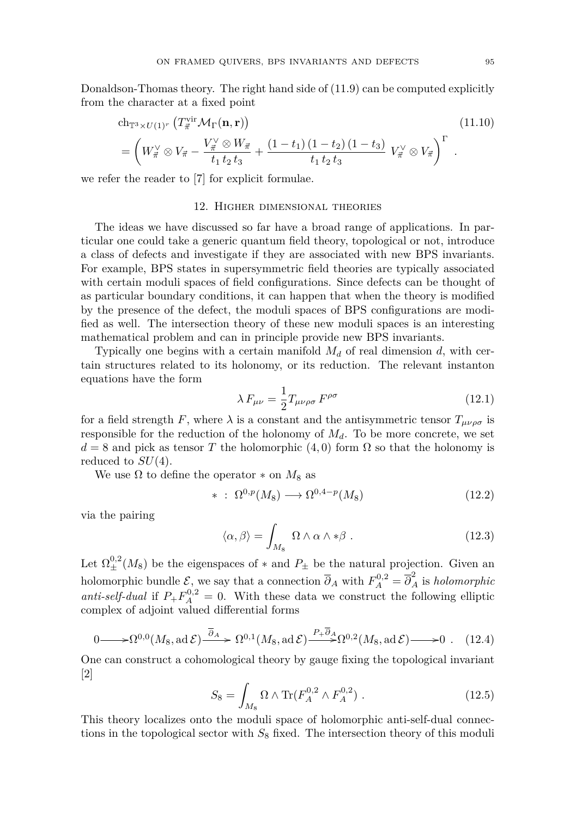Donaldson-Thomas theory. The right hand side of [\(11.9\)](#page-24-0) can be computed explicitly from the character at a fixed point

$$
\mathrm{ch}_{\mathbb{T}^3 \times U(1)^r} \left( T_{\vec{\pi}}^{\mathrm{vir}} \mathcal{M}_{\Gamma}(\mathbf{n}, \mathbf{r}) \right) \tag{11.10}
$$
\n
$$
= \left( W_{\vec{\pi}}^{\vee} \otimes V_{\vec{\pi}} - \frac{V_{\vec{\pi}}^{\vee} \otimes W_{\vec{\pi}}}{t_1 t_2 t_3} + \frac{(1 - t_1) (1 - t_2) (1 - t_3)}{t_1 t_2 t_3} V_{\vec{\pi}}^{\vee} \otimes V_{\vec{\pi}} \right)^{\Gamma} .
$$

we refer the reader to [\[7\]](#page-28-10) for explicit formulae.

#### 12. Higher dimensional theories

The ideas we have discussed so far have a broad range of applications. In particular one could take a generic quantum field theory, topological or not, introduce a class of defects and investigate if they are associated with new BPS invariants. For example, BPS states in supersymmetric field theories are typically associated with certain moduli spaces of field configurations. Since defects can be thought of as particular boundary conditions, it can happen that when the theory is modified by the presence of the defect, the moduli spaces of BPS configurations are modified as well. The intersection theory of these new moduli spaces is an interesting mathematical problem and can in principle provide new BPS invariants.

Typically one begins with a certain manifold *M<sup>d</sup>* of real dimension *d*, with certain structures related to its holonomy, or its reduction. The relevant instanton equations have the form

$$
\lambda F_{\mu\nu} = \frac{1}{2} T_{\mu\nu\rho\sigma} F^{\rho\sigma} \tag{12.1}
$$

for a field strength *F*, where  $\lambda$  is a constant and the antisymmetric tensor  $T_{\mu\nu\rho\sigma}$  is responsible for the reduction of the holonomy of  $M_d$ . To be more concrete, we set  $d = 8$  and pick as tensor *T* the holomorphic (4,0) form  $\Omega$  so that the holonomy is reduced to *SU*(4).

We use  $\Omega$  to define the operator  $*$  on  $M_8$  as

$$
* \; : \; \Omega^{0,p}(M_8) \longrightarrow \Omega^{0,4-p}(M_8) \tag{12.2}
$$

via the pairing

$$
\langle \alpha, \beta \rangle = \int_{M_8} \Omega \wedge \alpha \wedge * \beta . \qquad (12.3)
$$

Let  $\Omega_{\pm}^{0,2}(M_8)$  be the eigenspaces of  $*$  and  $P_{\pm}$  be the natural projection. Given an holomorphic bundle  $\mathcal{E}$ , we say that a connection  $\overline{\partial}_A$  with  $F_A^{0,2} = \overline{\partial}_A^2$  is *holomorphic anti-self-dual* if  $P_+ F_A^{0,2} = 0$ . With these data we construct the following elliptic complex of adjoint valued differential forms

$$
0 \longrightarrow \Omega^{0,0}(M_8, \text{ad }\mathcal{E}) \xrightarrow{\overline{\partial}_A} \Omega^{0,1}(M_8, \text{ad }\mathcal{E}) \xrightarrow{P + \overline{\partial}_A} \Omega^{0,2}(M_8, \text{ad }\mathcal{E}) \longrightarrow 0 \tag{12.4}
$$

One can construct a cohomological theory by gauge fixing the topological invariant [\[2\]](#page-28-24)

$$
S_8 = \int_{M_8} \Omega \wedge \text{Tr}(F_A^{0,2} \wedge F_A^{0,2}) \ . \tag{12.5}
$$

This theory localizes onto the moduli space of holomorphic anti-self-dual connections in the topological sector with  $S_8$  fixed. The intersection theory of this moduli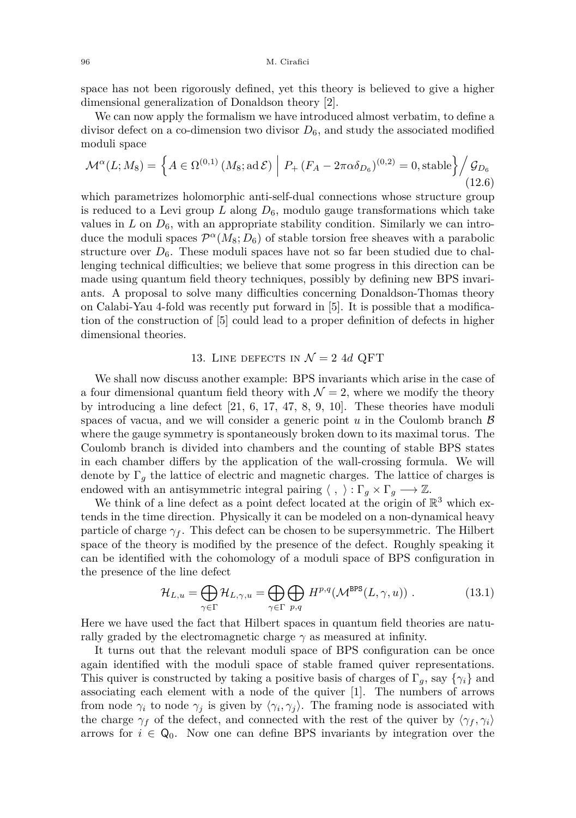space has not been rigorously defined, yet this theory is believed to give a higher dimensional generalization of Donaldson theory [\[2\]](#page-28-24).

We can now apply the formalism we have introduced almost verbatim, to define a divisor defect on a co-dimension two divisor  $D_6$ , and study the associated modified moduli space

$$
\mathcal{M}^{\alpha}(L; M_8) = \left\{ A \in \Omega^{(0,1)} \left( M_8; \text{ad } \mathcal{E} \right) \middle| P_+ \left( F_A - 2\pi\alpha \delta_{D_6} \right)^{(0,2)} = 0, \text{stable} \right\} \bigg/ \mathcal{G}_{D_6} \tag{12.6}
$$

which parametrizes holomorphic anti-self-dual connections whose structure group is reduced to a Levi group  $L$  along  $D_6$ , modulo gauge transformations which take values in  $L$  on  $D_6$ , with an appropriate stability condition. Similarly we can introduce the moduli spaces  $\mathcal{P}^{\alpha}(M_8; D_6)$  of stable torsion free sheaves with a parabolic structure over  $D_6$ . These moduli spaces have not so far been studied due to challenging technical difficulties; we believe that some progress in this direction can be made using quantum field theory techniques, possibly by defining new BPS invariants. A proposal to solve many difficulties concerning Donaldson-Thomas theory on Calabi-Yau 4-fold was recently put forward in [\[5\]](#page-28-25). It is possible that a modification of the construction of [\[5\]](#page-28-25) could lead to a proper definition of defects in higher dimensional theories.

# 13. LINE DEFECTS IN  $\mathcal{N}=2$  4d QFT

<span id="page-26-0"></span>We shall now discuss another example: BPS invariants which arise in the case of a four dimensional quantum field theory with  $\mathcal{N} = 2$ , where we modify the theory by introducing a line defect [\[21,](#page-28-7) [6,](#page-28-9) [17,](#page-28-26) [47,](#page-29-17) [8,](#page-28-11) [9,](#page-28-12) [10\]](#page-28-27). These theories have moduli spaces of vacua, and we will consider a generic point  $u$  in the Coulomb branch  $\beta$ where the gauge symmetry is spontaneously broken down to its maximal torus. The Coulomb branch is divided into chambers and the counting of stable BPS states in each chamber differs by the application of the wall-crossing formula. We will denote by  $\Gamma_g$  the lattice of electric and magnetic charges. The lattice of charges is endowed with an antisymmetric integral pairing  $\langle , \rangle : \Gamma_g \times \Gamma_g \longrightarrow \mathbb{Z}$ .

We think of a line defect as a point defect located at the origin of  $\mathbb{R}^3$  which extends in the time direction. Physically it can be modeled on a non-dynamical heavy particle of charge  $\gamma_f$ . This defect can be chosen to be supersymmetric. The Hilbert space of the theory is modified by the presence of the defect. Roughly speaking it can be identified with the cohomology of a moduli space of BPS configuration in the presence of the line defect

$$
\mathcal{H}_{L,u} = \bigoplus_{\gamma \in \Gamma} \mathcal{H}_{L,\gamma,u} = \bigoplus_{\gamma \in \Gamma} \bigoplus_{p,q} H^{p,q}(\mathcal{M}^{\text{BPS}}(L,\gamma,u)) . \tag{13.1}
$$

Here we have used the fact that Hilbert spaces in quantum field theories are naturally graded by the electromagnetic charge  $\gamma$  as measured at infinity.

It turns out that the relevant moduli space of BPS configuration can be once again identified with the moduli space of stable framed quiver representations. This quiver is constructed by taking a positive basis of charges of  $\Gamma_g$ , say  $\{\gamma_i\}$  and associating each element with a node of the quiver [\[1\]](#page-27-0). The numbers of arrows from node  $\gamma_i$  to node  $\gamma_j$  is given by  $\langle \gamma_i, \gamma_j \rangle$ . The framing node is associated with the charge  $\gamma_f$  of the defect, and connected with the rest of the quiver by  $\langle \gamma_f, \gamma_i \rangle$ arrows for  $i \in \mathbb{Q}_0$ . Now one can define BPS invariants by integration over the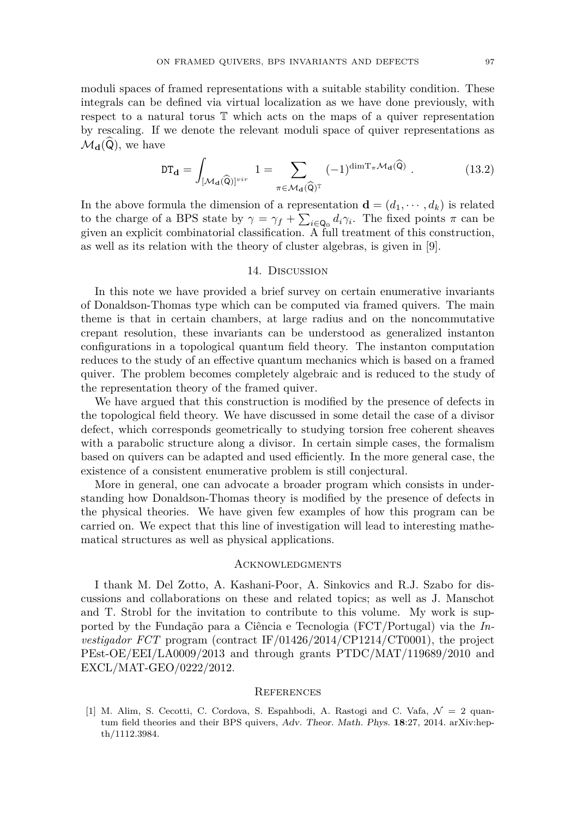moduli spaces of framed representations with a suitable stability condition. These integrals can be defined via virtual localization as we have done previously, with respect to a natural torus T which acts on the maps of a quiver representation by rescaling. If we denote the relevant moduli space of quiver representations as  $\mathcal{M}_{\mathbf{d}}(\mathsf{Q})$ , we have

$$
\mathsf{DT}_{\mathbf{d}} = \int_{[\mathcal{M}_{\mathbf{d}}(\widehat{\mathsf{Q}})]^{vir}} 1 = \sum_{\pi \in \mathcal{M}_{\mathbf{d}}(\widehat{\mathsf{Q}})^{\mathbb{T}}} (-1)^{\dim \mathrm{T}_{\pi} \mathcal{M}_{\mathbf{d}}(\widehat{\mathsf{Q}})} . \tag{13.2}
$$

In the above formula the dimension of a representation  $\mathbf{d} = (d_1, \dots, d_k)$  is related to the charge of a BPS state by  $\gamma = \gamma_f + \sum_{i \in \mathbb{Q}_0} d_i \gamma_i$ . The fixed points  $\pi$  can be given an explicit combinatorial classification. A full treatment of this construction, as well as its relation with the theory of cluster algebras, is given in [\[9\]](#page-28-12).

# 14. Discussion

In this note we have provided a brief survey on certain enumerative invariants of Donaldson-Thomas type which can be computed via framed quivers. The main theme is that in certain chambers, at large radius and on the noncommutative crepant resolution, these invariants can be understood as generalized instanton configurations in a topological quantum field theory. The instanton computation reduces to the study of an effective quantum mechanics which is based on a framed quiver. The problem becomes completely algebraic and is reduced to the study of the representation theory of the framed quiver.

We have argued that this construction is modified by the presence of defects in the topological field theory. We have discussed in some detail the case of a divisor defect, which corresponds geometrically to studying torsion free coherent sheaves with a parabolic structure along a divisor. In certain simple cases, the formalism based on quivers can be adapted and used efficiently. In the more general case, the existence of a consistent enumerative problem is still conjectural.

More in general, one can advocate a broader program which consists in understanding how Donaldson-Thomas theory is modified by the presence of defects in the physical theories. We have given few examples of how this program can be carried on. We expect that this line of investigation will lead to interesting mathematical structures as well as physical applications.

#### **ACKNOWLEDGMENTS**

I thank M. Del Zotto, A. Kashani-Poor, A. Sinkovics and R.J. Szabo for discussions and collaborations on these and related topics; as well as J. Manschot and T. Strobl for the invitation to contribute to this volume. My work is supported by the Fundação para a Ciência e Tecnologia (FCT/Portugal) via the *Investigador FCT* program (contract IF/01426/2014/CP1214/CT0001), the project PEst-OE/EEI/LA0009/2013 and through grants PTDC/MAT/119689/2010 and EXCL/MAT-GEO/0222/2012.

#### **REFERENCES**

<span id="page-27-0"></span>[1] M. Alim, S. Cecotti, C. Cordova, S. Espahbodi, A. Rastogi and C. Vafa,  $\mathcal{N} = 2$  quantum field theories and their BPS quivers, Adv. Theor. Math. Phys. **18**:27, 2014. arXiv:hepth/1112.3984.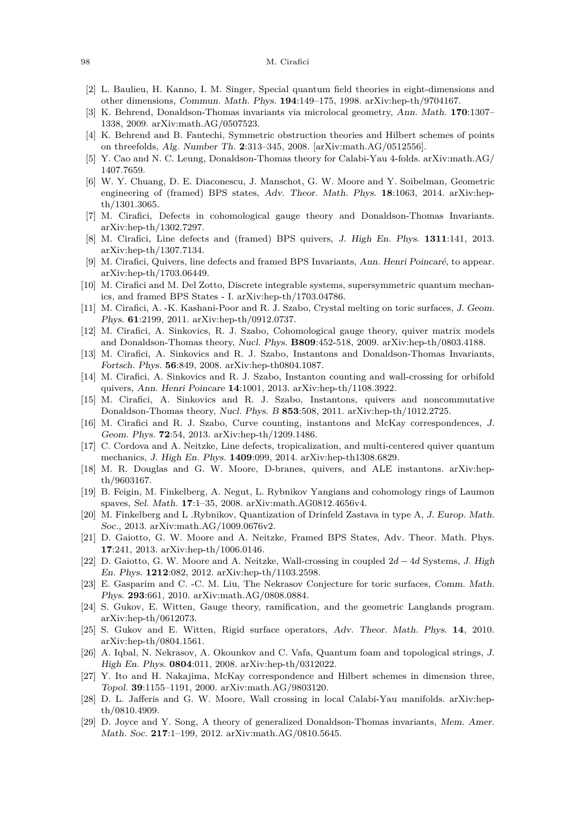#### 98 M. Cirafici

- <span id="page-28-24"></span>[2] L. Baulieu, H. Kanno, I. M. Singer, Special quantum field theories in eight-dimensions and other dimensions, Commun. Math. Phys. **194**:149–175, 1998. arXiv:hep-th/9704167.
- <span id="page-28-14"></span>[3] K. Behrend, Donaldson-Thomas invariants via microlocal geometry, Ann. Math. **170**:1307– 1338, 2009. arXiv:math.AG/0507523.
- <span id="page-28-13"></span>[4] K. Behrend and B. Fantechi, Symmetric obstruction theories and Hilbert schemes of points on threefolds, Alg. Number Th. **2**:313–345, 2008. [arXiv:math.AG/0512556].
- <span id="page-28-25"></span>[5] Y. Cao and N. C. Leung, Donaldson-Thomas theory for Calabi-Yau 4-folds. arXiv:math.AG/ 1407.7659.
- <span id="page-28-9"></span>[6] W. Y. Chuang, D. E. Diaconescu, J. Manschot, G. W. Moore and Y. Soibelman, Geometric engineering of (framed) BPS states, Adv. Theor. Math. Phys. **18**:1063, 2014. arXiv:hepth/1301.3065.
- <span id="page-28-10"></span>[7] M. Cirafici, Defects in cohomological gauge theory and Donaldson-Thomas Invariants. arXiv:hep-th/1302.7297.
- <span id="page-28-11"></span>[8] M. Cirafici, Line defects and (framed) BPS quivers, J. High En. Phys. **1311**:141, 2013. arXiv:hep-th/1307.7134.
- <span id="page-28-12"></span>[9] M. Cirafici, Quivers, line defects and framed BPS Invariants, Ann. Henri Poincaré, to appear. arXiv:hep-th/1703.06449.
- <span id="page-28-27"></span>[10] M. Cirafici and M. Del Zotto, Discrete integrable systems, supersymmetric quantum mechanics, and framed BPS States - I. arXiv:hep-th/1703.04786.
- <span id="page-28-16"></span>[11] M. Cirafici, A. -K. Kashani-Poor and R. J. Szabo, Crystal melting on toric surfaces, J. Geom. Phys. **61**:2199, 2011. arXiv:hep-th/0912.0737.
- <span id="page-28-2"></span>[12] M. Cirafici, A. Sinkovics, R. J. Szabo, Cohomological gauge theory, quiver matrix models and Donaldson-Thomas theory, Nucl. Phys. **B809**:452-518, 2009. arXiv:hep-th/0803.4188.
- <span id="page-28-3"></span>[13] M. Cirafici, A. Sinkovics and R. J. Szabo, Instantons and Donaldson-Thomas Invariants, Fortsch. Phys. **56**:849, 2008. arXiv:hep-th0804.1087.
- <span id="page-28-5"></span>[14] M. Cirafici, A. Sinkovics and R. J. Szabo, Instanton counting and wall-crossing for orbifold quivers, Ann. Henri Poincare **14**:1001, 2013. arXiv:hep-th/1108.3922.
- <span id="page-28-4"></span>[15] M. Cirafici, A. Sinkovics and R. J. Szabo, Instantons, quivers and noncommutative Donaldson-Thomas theory, Nucl. Phys. B **853**:508, 2011. arXiv:hep-th/1012.2725.
- <span id="page-28-6"></span>[16] M. Cirafici and R. J. Szabo, Curve counting, instantons and McKay correspondences, J. Geom. Phys. **72**:54, 2013. arXiv:hep-th/1209.1486.
- <span id="page-28-26"></span>[17] C. Cordova and A. Neitzke, Line defects, tropicalization, and multi-centered quiver quantum mechanics, J. High En. Phys. **1409**:099, 2014. arXiv:hep-th1308.6829.
- <span id="page-28-19"></span>[18] M. R. Douglas and G. W. Moore, D-branes, quivers, and ALE instantons. arXiv:hepth/9603167.
- <span id="page-28-22"></span>[19] B. Feigin, M. Finkelberg, A. Negut, L. Rybnikov Yangians and cohomology rings of Laumon spaves, Sel. Math. **17**:1–35, 2008. arXiv:math.AG0812.4656v4.
- <span id="page-28-23"></span>[20] M. Finkelberg and L .Rybnikov, Quantization of Drinfeld Zastava in type A, J. Europ. Math. Soc., 2013. arXiv:math.AG/1009.0676v2.
- <span id="page-28-7"></span>[21] D. Gaiotto, G. W. Moore and A. Neitzke, Framed BPS States, Adv. Theor. Math. Phys. **17**:241, 2013. arXiv:hep-th/1006.0146.
- <span id="page-28-8"></span>[22] D. Gaiotto, G. W. Moore and A. Neitzke, Wall-crossing in coupled 2*d* − 4*d* Systems, J. High En. Phys. **1212**:082, 2012. arXiv:hep-th/1103.2598.
- <span id="page-28-15"></span>[23] E. Gasparim and C. -C. M. Liu, The Nekrasov Conjecture for toric surfaces, Comm. Math. Phys. **293**:661, 2010. arXiv:math.AG/0808.0884.
- <span id="page-28-20"></span>[24] S. Gukov, E. Witten, Gauge theory, ramification, and the geometric Langlands program. arXiv:hep-th/0612073.
- <span id="page-28-21"></span>[25] S. Gukov and E. Witten, Rigid surface operators, Adv. Theor. Math. Phys. **14**, 2010. arXiv:hep-th/0804.1561.
- <span id="page-28-1"></span>[26] A. Iqbal, N. Nekrasov, A. Okounkov and C. Vafa, Quantum foam and topological strings, J. High En. Phys. **0804**:011, 2008. arXiv:hep-th/0312022.
- <span id="page-28-17"></span>[27] Y. Ito and H. Nakajima, McKay correspondence and Hilbert schemes in dimension three, Topol. **39**:1155–1191, 2000. arXiv:math.AG/9803120.
- <span id="page-28-18"></span>[28] D. L. Jafferis and G. W. Moore, Wall crossing in local Calabi-Yau manifolds. arXiv:hepth/0810.4909.
- <span id="page-28-0"></span>[29] D. Joyce and Y. Song, A theory of generalized Donaldson-Thomas invariants, Mem. Amer. Math. Soc. **217**:1–199, 2012. arXiv:math.AG/0810.5645.